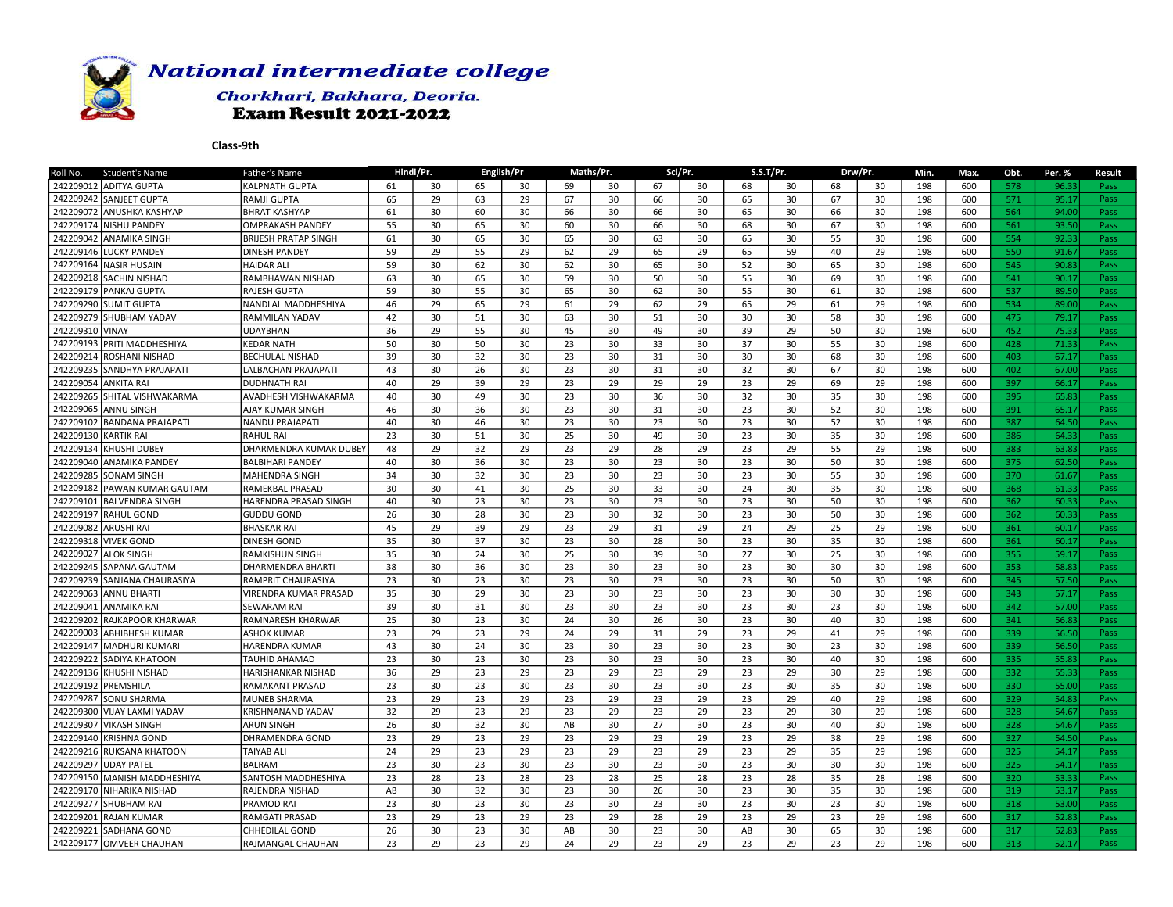

## Chorkhari, Bakhara, Deoria. **Exam Result 2021-2022**

| <b>Student's Name</b><br>Roll No.     | Father's Name               |    | Hindi/Pr. |    | English/Pr |    | Maths/Pr. |    | Sci/Pr. |    | S.S.T/Pr. |    | Drw/Pr. | Min. | Max. | Obt. | Per. % | <b>Result</b> |
|---------------------------------------|-----------------------------|----|-----------|----|------------|----|-----------|----|---------|----|-----------|----|---------|------|------|------|--------|---------------|
| 242209012 ADITYA GUPTA                | KALPNATH GUPTA              | 61 | 30        | 65 | 30         | 69 | 30        | 67 | 30      | 68 | 30        | 68 | 30      | 198  | 600  | 578  | 96.33  | Pass          |
| 242209242 SANJEET GUPTA               | RAMJI GUPTA                 | 65 | 29        | 63 | 29         | 67 | 30        | 66 | 30      | 65 | 30        | 67 | 30      | 198  | 600  | 571  | 95.17  | Pass          |
| 242209072 ANUSHKA KASHYAP             | <b>BHRAT KASHYAP</b>        | 61 | 30        | 60 | 30         | 66 | 30        | 66 | 30      | 65 | 30        | 66 | 30      | 198  | 600  | 564  | 94.00  | Pass          |
| 242209174<br><b>NISHU PANDEY</b>      | <b>OMPRAKASH PANDEY</b>     | 55 | 30        | 65 | 30         | 60 | 30        | 66 | 30      | 68 | 30        | 67 | 30      | 198  | 600  | 561  | 93.50  | Pass          |
| 242209042<br><b>ANAMIKA SINGH</b>     | <b>BRIJESH PRATAP SINGH</b> | 61 | 30        | 65 | 30         | 65 | 30        | 63 | 30      | 65 | 30        | 55 | 30      | 198  | 600  | 554  | 92.33  | Pass          |
| 242209146<br>LUCKY PANDEY             | <b>DINESH PANDEY</b>        | 59 | 29        | 55 | 29         | 62 | 29        | 65 | 29      | 65 | 59        | 40 | 29      | 198  | 600  | 550  | 91.67  | Pass          |
| 242209164<br><b>NASIR HUSAIN</b>      | <b>HAIDAR ALI</b>           | 59 | 30        | 62 | 30         | 62 | 30        | 65 | 30      | 52 | 30        | 65 | 30      | 198  | 600  | 545  | 90.83  | Pass          |
| 242209218<br><b>SACHIN NISHAD</b>     | RAMBHAWAN NISHAD            | 63 | 30        | 65 | 30         | 59 | 30        | 50 | 30      | 55 | 30        | 69 | 30      | 198  | 600  | 541  | 90.17  | Pass          |
| 242209179<br><b>PANKAJ GUPTA</b>      | RAJESH GUPTA                | 59 | 30        | 55 | 30         | 65 | 30        | 62 | 30      | 55 | 30        | 61 | 30      | 198  | 600  | 537  | 89.50  | Pass          |
| 242209290 SUMIT GUPTA                 | NANDLAL MADDHESHIYA         | 46 | 29        | 65 | 29         | 61 | 29        | 62 | 29      | 65 | 29        | 61 | 29      | 198  | 600  | 534  | 89.00  | Pass          |
| 242209279<br><b>SHUBHAM YADAV</b>     | RAMMILAN YADAV              | 42 | 30        | 51 | 30         | 63 | 30        | 51 | 30      | 30 | 30        | 58 | 30      | 198  | 600  | 475  | 79.17  | Pass          |
| 242209310 VINAY                       | <b>JDAYBHAN</b>             | 36 | 29        | 55 | 30         | 45 | 30        | 49 | 30      | 39 | 29        | 50 | 30      | 198  | 600  | 452  | 75.33  | Pass          |
| 242209193<br>PRITI MADDHESHIYA        | KEDAR NATH                  | 50 | 30        | 50 | 30         | 23 | 30        | 33 | 30      | 37 | 30        | 55 | 30      | 198  | 600  | 428  | 71.33  | Pass          |
| 242209214<br>ROSHANI NISHAD           | <b>BECHULAL NISHAD</b>      | 39 | 30        | 32 | 30         | 23 | 30        | 31 | 30      | 30 | 30        | 68 | 30      | 198  | 600  | 403  | 67.17  | Pass          |
| 24220923<br><b>SANDHYA PRAJAPATI</b>  | LALBACHAN PRAJAPATI         | 43 | 30        | 26 | 30         | 23 | 30        | 31 | 30      | 32 | 30        | 67 | 30      | 198  | 600  | 402  | 67.00  | Pass          |
| 242209054<br><b>ANKITA RAI</b>        | <b>DUDHNATH RAI</b>         | 40 | 29        | 39 | 29         | 23 | 29        | 29 | 29      | 23 | 29        | 69 | 29      | 198  | 600  | 397  | 66.17  | Pass          |
| 242209265<br>SHITAL VISHWAKARMA       | AVADHESH VISHWAKARMA        | 40 | 30        | 49 | 30         | 23 | 30        | 36 | 30      | 32 | 30        | 35 | 30      | 198  | 600  | 395  | 65.83  | Pass          |
| 242209065<br><b>ANNU SINGH</b>        | AJAY KUMAR SINGH            | 46 | 30        | 36 | 30         | 23 | 30        | 31 | 30      | 23 | 30        | 52 | 30      | 198  | 600  | 391  | 65.17  | Pass          |
| 242209102<br><b>BANDANA PRAJAPATI</b> | <b>NANDU PRAJAPATI</b>      | 40 | 30        | 46 | 30         | 23 | 30        | 23 | 30      | 23 | 30        | 52 | 30      | 198  | 600  | 387  | 64.50  | Pass          |
| 242209130<br><b>KARTIK RAI</b>        | <b>RAHUL RAI</b>            | 23 | 30        | 51 | 30         | 25 | 30        | 49 | 30      | 23 | 30        | 35 | 30      | 198  | 600  | 386  | 64.33  | Pass          |
| 242209134<br>KHUSHI DUBEY             | DHARMENDRA KUMAR DUBEY      | 48 | 29        | 32 | 29         | 23 | 29        | 28 | 29      | 23 | 29        | 55 | 29      | 198  | 600  | 383  | 63.83  | Pass          |
| 242209040<br><b>ANAMIKA PANDEY</b>    | <b>BALBIHARI PANDEY</b>     | 40 | 30        | 36 | 30         | 23 | 30        | 23 | 30      | 23 | 30        | 50 | 30      | 198  | 600  | 375  | 62.50  | Pass          |
| 242209285<br><b>SONAM SINGH</b>       | MAHENDRA SINGH              | 34 | 30        | 32 | 30         | 23 | 30        | 23 | 30      | 23 | 30        | 55 | 30      | 198  | 600  | 370  | 61.67  | Pass          |
| 242209182<br>PAWAN KUMAR GAUTAM       | RAMEKBAL PRASAD             | 30 | 30        | 41 | 30         | 25 | 30        | 33 | 30      | 24 | 30        | 35 | 30      | 198  | 600  | 368  | 61.33  | Pass          |
| 242209101<br><b>BALVENDRA SINGH</b>   | HARENDRA PRASAD SINGH       | 40 | 30        | 23 | 30         | 23 | 30        | 23 | 30      | 23 | 30        | 50 | 30      | 198  | 600  | 362  | 60.33  | Pass          |
| 242209197<br>RAHUL GOND               | <b>GUDDU GOND</b>           | 26 | 30        | 28 | 30         | 23 | 30        | 32 | 30      | 23 | 30        | 50 | 30      | 198  | 600  | 362  | 60.33  | Pass          |
| 242209082<br>ARUSHI RAI               | <b>BHASKAR RAI</b>          | 45 | 29        | 39 | 29         | 23 | 29        | 31 | 29      | 24 | 29        | 25 | 29      | 198  | 600  | 361  | 60.17  | Pass          |
| 242209318<br>lvivek GOND              | DINESH GOND                 | 35 | 30        | 37 | 30         | 23 | 30        | 28 | 30      | 23 | 30        | 35 | 30      | 198  | 600  | 361  | 60.17  | Pass          |
| 242209027<br><b>ALOK SINGH</b>        | RAMKISHUN SINGH             | 35 | 30        | 24 | 30         | 25 | 30        | 39 | 30      | 27 | 30        | 25 | 30      | 198  | 600  | 355  | 59.17  | Pass          |
| 242209245<br><b>SAPANA GAUTAM</b>     | DHARMENDRA BHARTI           | 38 | 30        | 36 | 30         | 23 | 30        | 23 | 30      | 23 | 30        | 30 | 30      | 198  | 600  | 353  | 58.83  | Pass          |
| 242209239<br>SANJANA CHAURASIYA       | RAMPRIT CHAURASIYA          | 23 | 30        | 23 | 30         | 23 | 30        | 23 | 30      | 23 | 30        | 50 | 30      | 198  | 600  | 345  | 57.50  | Pass          |
| 242209063<br><b>ANNU BHARTI</b>       | VIRENDRA KUMAR PRASAD       | 35 | 30        | 29 | 30         | 23 | 30        | 23 | 30      | 23 | 30        | 30 | 30      | 198  | 600  | 343  | 57.17  | Pass          |
| 242209041<br><b>JANAMIKA RAI</b>      | <b>SEWARAM RAI</b>          | 39 | 30        | 31 | 30         | 23 | 30        | 23 | 30      | 23 | 30        | 23 | 30      | 198  | 600  | 342  | 57.00  | Pass          |
| 242209202<br>RAJKAPOOR KHARWAR        | RAMNARESH KHARWAR           | 25 | 30        | 23 | 30         | 24 | 30        | 26 | 30      | 23 | 30        | 40 | 30      | 198  | 600  | 341  | 56.83  | Pass          |
| 242209003<br><b>ABHIBHESH KUMAR</b>   | ASHOK KUMAR                 | 23 | 29        | 23 | 29         | 24 | 29        | 31 | 29      | 23 | 29        | 41 | 29      | 198  | 600  | 339  | 56.50  | Pass          |
| 24220914<br>MADHURI KUMARI            | HARENDRA KUMAR              | 43 | 30        | 24 | 30         | 23 | 30        | 23 | 30      | 23 | 30        | 23 | 30      | 198  | 600  | 339  | 56.50  | Pass          |
| 242209222<br>SADIYA KHATOON           | <b>TAUHID AHAMAD</b>        | 23 | 30        | 23 | 30         | 23 | 30        | 23 | 30      | 23 | 30        | 40 | 30      | 198  | 600  | 335  | 55.83  | Pass          |
| 242209136<br>KHUSHI NISHAD            | HARISHANKAR NISHAD          | 36 | 29        | 23 | 29         | 23 | 29        | 23 | 29      | 23 | 29        | 30 | 29      | 198  | 600  | 332  | 55.33  | Pass          |
| 242209192<br>PREMSHILA                | RAMAKANT PRASAD             | 23 | 30        | 23 | 30         | 23 | 30        | 23 | 30      | 23 | 30        | 35 | 30      | 198  | 600  | 330  | 55.00  | Pass          |
| 242209287<br>ISONU SHARMA             | MUNEB SHARMA                | 23 | 29        | 23 | 29         | 23 | 29        | 23 | 29      | 23 | 29        | 40 | 29      | 198  | 600  | 329  | 54.83  | Pass          |
| 242209300<br>VIJAY LAXMI YADAV        | KRISHNANAND YADAV           | 32 | 29        | 23 | 29         | 23 | 29        | 23 | 29      | 23 | 29        | 30 | 29      | 198  | 600  | 328  | 54.67  | Pass          |
| 242209307<br><b>VIKASH SINGH</b>      | ARUN SINGH                  | 26 | 30        | 32 | 30         | AB | 30        | 27 | 30      | 23 | 30        | 40 | 30      | 198  | 600  | 328  | 54.67  | Pass          |
| 242209140 KRISHNA GOND                | DHRAMENDRA GOND             | 23 | 29        | 23 | 29         | 23 | 29        | 23 | 29      | 23 | 29        | 38 | 29      | 198  | 600  | 327  | 54.50  | Pass          |
| 242209216<br><b>RUKSANA KHATOON</b>   | TAIYAB AL                   | 24 | 29        | 23 | 29         | 23 | 29        | 23 | 29      | 23 | 29        | 35 | 29      | 198  | 600  | 325  | 54.17  | Pass          |
| 242209297<br><b>UDAY PATEL</b>        | <b>BALRAM</b>               | 23 | 30        | 23 | 30         | 23 | 30        | 23 | 30      | 23 | 30        | 30 | 30      | 198  | 600  | 325  | 54.17  | Pass          |
| 242209150<br>MANISH MADDHESHIYA       | SANTOSH MADDHESHIYA         | 23 | 28        | 23 | 28         | 23 | 28        | 25 | 28      | 23 | 28        | 35 | 28      | 198  | 600  | 320  | 53.33  | Pass          |
| 242209170<br>INIHARIKA NISHAD         | RAJENDRA NISHAD             | AB | 30        | 32 | 30         | 23 | 30        | 26 | 30      | 23 | 30        | 35 | 30      | 198  | 600  | 319  | 53.17  | Pass          |
| 242209277<br><b>SHUBHAM RAI</b>       | PRAMOD RAI                  | 23 | 30        | 23 | 30         | 23 | 30        | 23 | 30      | 23 | 30        | 23 | 30      | 198  | 600  | 318  | 53.00  | Pass          |
| 242209201<br><b>RAJAN KUMAR</b>       | RAMGATI PRASAD              | 23 | 29        | 23 | 29         | 23 | 29        | 28 | 29      | 23 | 29        | 23 | 29      | 198  | 600  | 317  | 52.83  | Pass          |
| 242209221<br><b>SADHANA GOND</b>      | CHHEDILAL GOND              | 26 | 30        | 23 | 30         | AB | 30        | 23 | 30      | AB | 30        | 65 | 30      | 198  | 600  | 317  | 52.83  | Pass          |
| 242209177 OMVEER CHAUHAN              | RAJMANGAL CHAUHAN           | 23 | 29        | 23 | 29         | 24 | 29        | 23 | 29      | 23 | 29        | 23 | 29      | 198  | 600  | 313  | 52.17  | Pass          |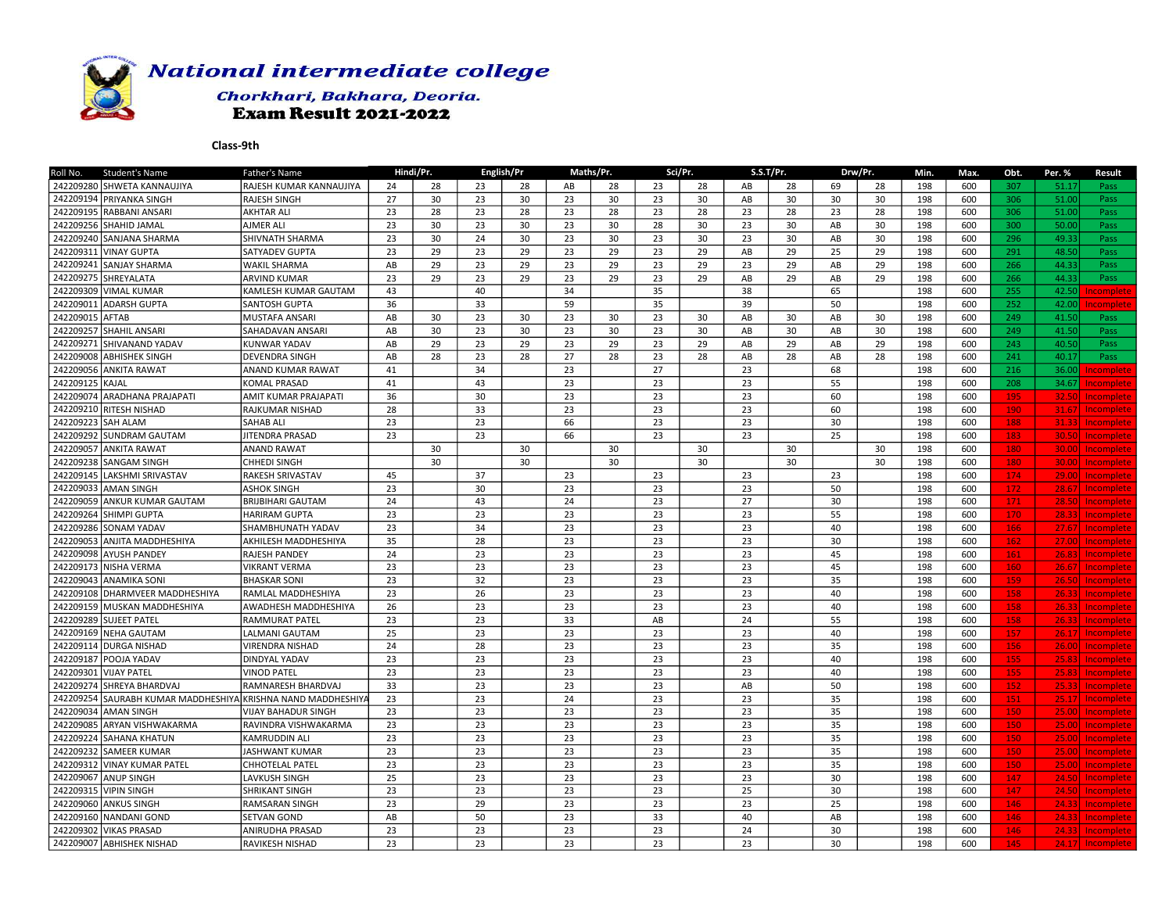

## Chorkhari, Bakhara, Deoria. **Exam Result 2021-2022**

| <b>Student's Name</b><br>Roll No.      | Father's Name            |    | Hindi/Pr. |    | English/Pr |    | Maths/Pr. |    | Sci/Pr. |    | S.S.T/Pr. |    | Drw/Pr. | Min. | Max. | Obt. | Per. % | <b>Result</b>     |
|----------------------------------------|--------------------------|----|-----------|----|------------|----|-----------|----|---------|----|-----------|----|---------|------|------|------|--------|-------------------|
| 242209280 SHWETA KANNAUJIYA            | RAJESH KUMAR KANNAUJIYA  | 24 | 28        | 23 | 28         | AB | 28        | 23 | 28      | AB | 28        | 69 | 28      | 198  | 600  | 307  | 51.17  | Pass              |
| 242209194 PRIYANKA SINGH               | RAJESH SINGH             | 27 | 30        | 23 | 30         | 23 | 30        | 23 | 30      | AB | 30        | 30 | 30      | 198  | 600  | 306  | 51.00  | Pass              |
| 242209195 RABBANI ANSARI               | AKHTAR ALI               | 23 | 28        | 23 | 28         | 23 | 28        | 23 | 28      | 23 | 28        | 23 | 28      | 198  | 600  | 306  | 51.00  | Pass              |
| 242209256 SHAHID JAMAL                 | AJMER ALI                | 23 | 30        | 23 | 30         | 23 | 30        | 28 | 30      | 23 | 30        | AB | 30      | 198  | 600  | 300  | 50.00  | Pass              |
| 242209240 SANJANA SHARMA               | SHIVNATH SHARMA          | 23 | 30        | 24 | 30         | 23 | 30        | 23 | 30      | 23 | 30        | AB | 30      | 198  | 600  | 296  | 49.33  | Pass              |
| 242209311<br>lvinay gupta              | SATYADEV GUPTA           | 23 | 29        | 23 | 29         | 23 | 29        | 23 | 29      | AB | 29        | 25 | 29      | 198  | 600  | 291  | 48.50  | Pass              |
| 242209241<br>SANJAY SHARMA             | <b>WAKIL SHARMA</b>      | AB | 29        | 23 | 29         | 23 | 29        | 23 | 29      | 23 | 29        | AB | 29      | 198  | 600  | 266  | 44.33  | Pass              |
| 242209275<br>SHREYALATA                | <b>ARVIND KUMAR</b>      | 23 | 29        | 23 | 29         | 23 | 29        | 23 | 29      | AB | 29        | AB | 29      | 198  | 600  | 266  | 44.33  | Pass              |
| 242209309 VIMAL KUMAR                  | KAMLESH KUMAR GAUTAM     | 43 |           | 40 |            | 34 |           | 35 |         | 38 |           | 65 |         | 198  | 600  | 255  | 42.50  | ncomplete         |
| 242209011<br><b>ADARSH GUPTA</b>       | SANTOSH GUPTA            | 36 |           | 33 |            | 59 |           | 35 |         | 39 |           | 50 |         | 198  | 600  | 252  | 42.00  | ncomplet          |
| 242209015 AFTAB                        | MUSTAFA ANSARI           | AB | 30        | 23 | 30         | 23 | 30        | 23 | 30      | AB | 30        | AB | 30      | 198  | 600  | 249  | 41.50  | Pass              |
| 242209257<br><b>SHAHIL ANSARI</b>      | SAHADAVAN ANSARI         | AB | 30        | 23 | 30         | 23 | 30        | 23 | 30      | AB | 30        | AB | 30      | 198  | 600  | 249  | 41.50  | Pass              |
| 242209271<br>İSHIVANAND YADAV          | KUNWAR YADAV             | AB | 29        | 23 | 29         | 23 | 29        | 23 | 29      | AB | 29        | AB | 29      | 198  | 600  | 243  | 40.50  | Pass              |
| 242209008 ABHISHEK SINGH               | DEVENDRA SINGH           | AB | 28        | 23 | 28         | 27 | 28        | 23 | 28      | AB | 28        | AB | 28      | 198  | 600  | 241  | 40.17  | Pass              |
| 242209056<br><b>ANKITA RAWAT</b>       | ANAND KUMAR RAWAT        | 41 |           | 34 |            | 23 |           | 27 |         | 23 |           | 68 |         | 198  | 600  | 216  | 36.00  | ncomplete         |
| 242209125<br>KAJAL                     | KOMAL PRASAD             | 41 |           | 43 |            | 23 |           | 23 |         | 23 |           | 55 |         | 198  | 600  | 208  | 34.67  | ncomplete         |
| 242209074 ARADHANA PRAJAPATI           | AMIT KUMAR PRAJAPATI     | 36 |           | 30 |            | 23 |           | 23 |         | 23 |           | 60 |         | 198  | 600  | 195  | 32.50  | ncomplete         |
| 242209210 RITESH NISHAD                | RAJKUMAR NISHAD          | 28 |           | 33 |            | 23 |           | 23 |         | 23 |           | 60 |         | 198  | 600  | 190  | 31.67  | Incomplete        |
| 242209223 SAH ALAM                     | SAHAB ALI                | 23 |           | 23 |            | 66 |           | 23 |         | 23 |           | 30 |         | 198  | 600  | 188  | 31.33  | Incomplete        |
| 242209292<br>SUNDRAM GAUTAM            | JITENDRA PRASAD          | 23 |           | 23 |            | 66 |           | 23 |         | 23 |           | 25 |         | 198  | 600  | 183  | 30.50  | Incomplete        |
| 242209057<br><b>ANKITA RAWAT</b>       | <b>ANAND RAWAT</b>       |    | 30        |    | 30         |    | 30        |    | 30      |    | 30        |    | 30      | 198  | 600  | 180  | 30.00  | Incomplete        |
| 242209238<br>SANGAM SINGH              | CHHEDI SINGH             |    | 30        |    | 30         |    | 30        |    | 30      |    | 30        |    | 30      | 198  | 600  | 180  | 30.00  | Incomplete        |
| 242209145 LAKSHMI SRIVASTAV            | RAKESH SRIVASTAV         | 45 |           | 37 |            | 23 |           | 23 |         | 23 |           | 23 |         | 198  | 600  | 174  | 29.00  | Incomplete        |
| 242209033<br><b>AMAN SINGH</b>         | <b>ASHOK SINGH</b>       | 23 |           | 30 |            | 23 |           | 23 |         | 23 |           | 50 |         | 198  | 600  | 172  | 28.67  | <b>Incomplete</b> |
| 242209059 ANKUR KUMAR GAUTAM           | BRIJBIHARI GAUTAM        | 24 |           | 43 |            | 24 |           | 23 |         | 27 |           | 30 |         | 198  | 600  | 171  | 28.50  | Incomplete        |
| 242209264 SHIMPI GUPTA                 | HARIRAM GUPTA            | 23 |           | 23 |            | 23 |           | 23 |         | 23 |           | 55 |         | 198  | 600  | 170  | 28.33  | Incomplete        |
| 242209286 SONAM YADAV                  | SHAMBHUNATH YADAV        | 23 |           | 34 |            | 23 |           | 23 |         | 23 |           | 40 |         | 198  | 600  | 166  | 27.67  | Incomplete        |
| 242209053 ANJITA MADDHESHIYA           | AKHILESH MADDHESHIYA     | 35 |           | 28 |            | 23 |           | 23 |         | 23 |           | 30 |         | 198  | 600  | 162  | 27.00  | <b>Incomplete</b> |
| 242209098 AYUSH PANDEY                 | RAJESH PANDEY            | 24 |           | 23 |            | 23 |           | 23 |         | 23 |           | 45 |         | 198  | 600  | 161  | 26.83  | <b>Incomplete</b> |
| 242209173 NISHA VERMA                  | <b>VIKRANT VERMA</b>     | 23 |           | 23 |            | 23 |           | 23 |         | 23 |           | 45 |         | 198  | 600  | 160  | 26.67  | Incomplete        |
| 242209043<br>Ianamika soni             | <b>BHASKAR SONI</b>      | 23 |           | 32 |            | 23 |           | 23 |         | 23 |           | 35 |         | 198  | 600  | 159  | 26.50  | Incomplete        |
| 242209108 DHARMVEER MADDHESHIYA        | RAMLAL MADDHESHIYA       | 23 |           | 26 |            | 23 |           | 23 |         | 23 |           | 40 |         | 198  | 600  | 158  | 26.33  | Incomplete        |
| 242209159 MUSKAN MADDHESHIYA           | AWADHESH MADDHESHIYA     | 26 |           | 23 |            | 23 |           | 23 |         | 23 |           | 40 |         | 198  | 600  | 158  | 26.33  | Incomplete        |
| 242209289 SUJEET PATEL                 | RAMMURAT PATEL           | 23 |           | 23 |            | 33 |           | AB |         | 24 |           | 55 |         | 198  | 600  | 158  | 26.33  | Incomplete        |
| 242209169 NEHA GAUTAM                  | LALMANI GAUTAM           | 25 |           | 23 |            | 23 |           | 23 |         | 23 |           | 40 |         | 198  | 600  | 157  |        | 26.17 Incomplete  |
| 242209114 DURGA NISHAD                 | VIRENDRA NISHAD          | 24 |           | 28 |            | 23 |           | 23 |         | 23 |           | 35 |         | 198  | 600  | 156  | 26,00  | Incomplete        |
| 242209187 POOJA YADAV                  | DINDYAL YADAV            | 23 |           | 23 |            | 23 |           | 23 |         | 23 |           | 40 |         | 198  | 600  | 155  | 25.83  | <b>Incomplete</b> |
| 242209301<br>VIJAY PATEL               | <b>VINOD PATEL</b>       | 23 |           | 23 |            | 23 |           | 23 |         | 23 |           | 40 |         | 198  | 600  | 155  | 25.83  | Incomplete        |
| 242209274 SHREYA BHARDVAJ              | RAMNARESH BHARDVAJ       | 33 |           | 23 |            | 23 |           | 23 |         | AB |           | 50 |         | 198  | 600  | 152  | 25.33  | Incomplete        |
| 242209254<br>SAURABH KUMAR MADDHESHIYA | KRISHNA NAND MADDHESHIY/ | 23 |           | 23 |            | 24 |           | 23 |         | 23 |           | 35 |         | 198  | 600  | 151  | 25.17  | Incomplete        |
| 242209034 AMAN SINGH                   | VIJAY BAHADUR SINGH      | 23 |           | 23 |            | 23 |           | 23 |         | 23 |           | 35 |         | 198  | 600  | 150  | 25.00  | <b>Incomplete</b> |
| 242209085 ARYAN VISHWAKARMA            | RAVINDRA VISHWAKARMA     | 23 |           | 23 |            | 23 |           | 23 |         | 23 |           | 35 |         | 198  | 600  | 150  | 25.00  | Incomplete        |
| 242209224 SAHANA KHATUN                | KAMRUDDIN ALI            | 23 |           | 23 |            | 23 |           | 23 |         | 23 |           | 35 |         | 198  | 600  | 150  | 25,00  | Incomplete        |
| 242209232<br>SAMEER KUMAR              | <b>JASHWANT KUMAR</b>    | 23 |           | 23 |            | 23 |           | 23 |         | 23 |           | 35 |         | 198  | 600  | 150  | 25.00  | Incomplete        |
| 242209312<br>lvinay kumar patel        | CHHOTELAL PATEL          | 23 |           | 23 |            | 23 |           | 23 |         | 23 |           | 35 |         | 198  | 600  | 150  | 25.00  | <b>Incomplete</b> |
| 242209067<br><b>ANUP SINGH</b>         | LAVKUSH SINGH            | 25 |           | 23 |            | 23 |           | 23 |         | 23 |           | 30 |         | 198  | 600  | 147  | 24.50  | Incomplete        |
| 242209315 VIPIN SINGH                  | SHRIKANT SINGH           | 23 |           | 23 |            | 23 |           | 23 |         | 25 |           | 30 |         | 198  | 600  | 147  | 24.50  | Incomplete        |
| 242209060 ANKUS SINGH                  | RAMSARAN SINGH           | 23 |           | 29 |            | 23 |           | 23 |         | 23 |           | 25 |         | 198  | 600  | 146  | 24.33  | Incomplete        |
| 242209160 NANDANI GOND                 | SETVAN GOND              | AB |           | 50 |            | 23 |           | 33 |         | 40 |           | AB |         | 198  | 600  | 146  | 24.33  |                   |
| 242209302<br><b>VIKAS PRASAD</b>       | ANIRUDHA PRASAD          | 23 |           | 23 |            | 23 |           | 23 |         | 24 |           | 30 |         | 198  | 600  | 146  | 24.33  | Incomplete        |
|                                        |                          |    |           |    |            |    |           |    |         |    |           |    |         |      |      |      |        | Incomplete        |
| 242209007 ABHISHEK NISHAD              | RAVIKESH NISHAD          | 23 |           | 23 |            | 23 |           | 23 |         | 23 |           | 30 |         | 198  | 600  | 145  |        | 24.17 Incomplete  |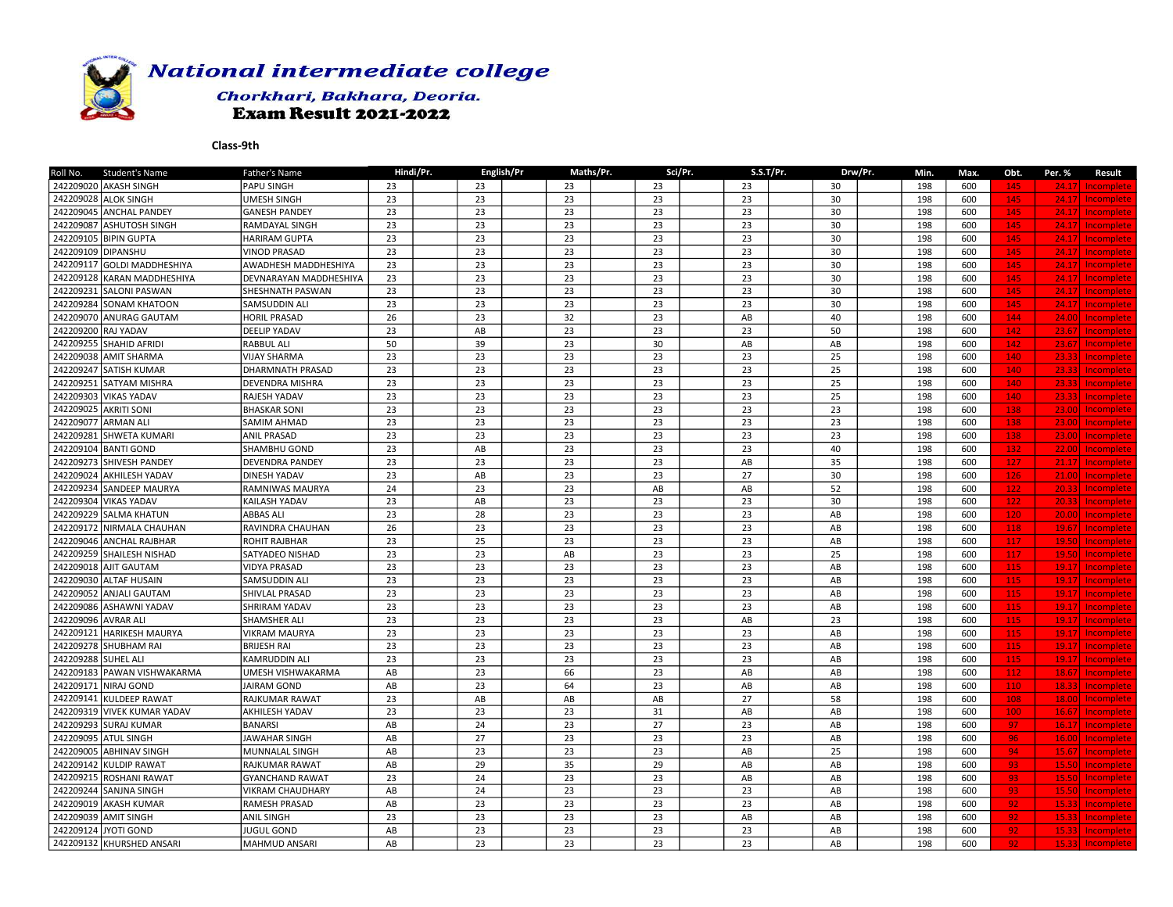

### Chorkhari, Bakhara, Deoria. **Exam Result 2021-2022**

| 242209020 AKASH SINGH<br><b>PAPU SINGH</b><br>23<br>23<br>23<br>23<br>23<br>30<br>198<br>600<br>145<br>24.17<br>Incomplete<br>242209028 ALOK SINGH<br>23<br>23<br>23<br>23<br><b>UMESH SINGH</b><br>23<br>30<br>198<br>600<br>145<br>Incomplete<br>24.17<br>242209045 ANCHAL PANDEY<br>23<br>23<br>23<br>23<br>23<br>30<br>198<br><b>GANESH PANDEY</b><br>600<br>145<br>24.17<br>Incomplete<br>23<br>23<br>23<br>23<br>23<br>242209087 ASHUTOSH SINGH<br>30<br>198<br>600<br>RAMDAYAL SINGH<br>145<br>24.17<br>Incomplete<br>23<br>23<br>23<br>23<br>23<br>30<br>242209105 BIPIN GUPTA<br><b>HARIRAM GUPTA</b><br>198<br>600<br>145<br>24.17<br>Incomplete<br>242209109 DIPANSHU<br>23<br>23<br>23<br>23<br>23<br>30<br>145<br><b>VINOD PRASAD</b><br>198<br>600<br>24.17<br>Incomplete<br>242209117 GOLDI MADDHESHIYA<br>23<br>23<br>23<br>23<br>30<br>198<br>145<br><b>AWADHESH MADDHESHIYA</b><br>23<br>600<br>24.17<br>Incomplete<br>23<br>23<br>23<br>30<br>23<br>23<br>198<br>242209128 KARAN MADDHESHIYA<br>DEVNARAYAN MADDHESHIYA<br>600<br>145<br>24.17<br><b>Incomplete</b><br>242209231 SALONI PASWAN<br>23<br>23<br>23<br>23<br>23<br><b>SHESHNATH PASWAN</b><br>30<br>198<br>600<br>145<br>24.17<br>Incomplete<br>23<br>242209284 SONAM KHATOON<br>23<br>23<br>23<br>23<br>30<br>198<br>600<br>145<br><b>SAMSUDDIN ALI</b><br>24.17<br>Incomplete<br>242209070 ANURAG GAUTAM<br>26<br>23<br>32<br>23<br>$\mathsf{A}\mathsf{B}$<br>40<br>198<br>144<br><b>HORIL PRASAD</b><br>600<br>24.00<br>Incomplete<br>242209200 RAJ YADAV<br>23<br>23<br>23<br>23<br><b>DEELIP YADAV</b><br>AB<br>50<br>198<br>600<br>142<br>Incomplete<br>23.67<br>142<br>242209255 SHAHID AFRIDI<br>RABBUL ALI<br>50<br>39<br>23<br>30<br>AB<br>AB<br>198<br>600<br>23.67<br><b>Incomplete</b><br>23<br>23<br>242209038 AMIT SHARMA<br>23<br>23<br>23<br>25<br>198<br>600<br>140<br>23.33<br><b>VIJAY SHARMA</b><br>Incomplete<br>242209247 SATISH KUMAR<br>23<br>23<br>23<br>23<br>25<br>140<br><b>DHARMNATH PRASAD</b><br>23<br>198<br>600<br>23.33<br>Incomplete<br>23<br>23<br>23<br>23<br>23<br>25<br>140<br>242209251 SATYAM MISHRA<br>198<br>600<br><b>DEVENDRA MISHRA</b><br>23.33<br>Incomplete<br>23<br>242209303 VIKAS YADAV<br>23<br>23<br>23<br>23<br>25<br>198<br>140<br><b>RAJESH YADAV</b><br>600<br>23.33<br>Incomplete<br>242209025 AKRITI SONI<br>23<br>23<br>23<br>23<br>23<br>23<br>198<br>138<br><b>BHASKAR SONI</b><br>600<br>23.00<br>Incomplete<br>242209077 ARMAN ALI<br><b>SAMIM AHMAD</b><br>23<br>23<br>23<br>23<br>23<br>23<br>198<br>138<br>600<br>23.00<br>Incomplete<br>$\overline{23}$<br>23<br>23<br>23<br>23<br>23<br>242209281<br>198<br>600<br>138<br>SHWETA KUMARI<br><b>ANIL PRASAD</b><br>23.00<br>Incomplete<br>242209104 BANTI GOND<br>23<br>AB<br>23<br>23<br>23<br>SHAMBHU GOND<br>40<br>198<br>600<br>132<br>22.00<br>Incomplete<br>242209273 SHIVESH PANDEY<br>23<br>23<br>23<br>23<br>35<br>127<br><b>DEVENDRA PANDEY</b><br>AB<br>198<br>600<br>21.17<br>Incomplete<br>23<br>242209024 AKHILESH YADAV<br><b>DINESH YADAV</b><br>23<br>AB<br>23<br>27<br>30<br>198<br>600<br>126<br>21.00<br>Incomplete<br>242209234 SANDEEP MAURYA<br>24<br>23<br>52<br>23<br>AB<br>AB<br>198<br>600<br>122<br>RAMNIWAS MAURYA<br>20.33<br>Incomplete<br>242209304 VIKAS YADAV<br>23<br>23<br>23<br>23<br>122<br>KAILASH YADAV<br>AB<br>30<br>198<br>600<br>20.33<br>Incomplete<br>23<br>23<br>23<br>242209229 SALMA KHATUN<br><b>ABBAS ALI</b><br>23<br>28<br>AB<br>198<br>600<br>120<br>20.00<br>Incomplete<br>242209172 NIRMALA CHAUHAN<br>26<br>23<br>23<br>23<br>198<br>118<br>RAVINDRA CHAUHAN<br>23<br>AB<br>600<br>19.67<br>Incomplete<br>23<br>23<br>23<br>23<br>25<br>AB<br>198<br>117<br>242209046 ANCHAL RAJBHAR<br><b>ROHIT RAJBHAR</b><br>600<br>19.50<br><b>Incomplete</b><br>23<br>23<br>23<br>117<br>242209259 SHAILESH NISHAD<br>SATYADEO NISHAD<br>23<br>AB<br>25<br>198<br>600<br>19.50<br><b>Incomplete</b><br>23<br>23<br>242209018 AJIT GAUTAM<br><b>VIDYA PRASAD</b><br>23<br>23<br>23<br>AB<br>198<br>600<br>115<br>19.17<br>Incomplete<br>242209030 ALTAF HUSAIN<br>23<br>23<br>23<br>23<br>115<br><b>SAMSUDDIN ALI</b><br>23<br>AB<br>198<br>600<br>Incomplete<br>19.17<br>23<br>23<br>23<br>23<br>23<br>242209052 ANJALI GAUTAM<br>AB<br>198<br>600<br>115<br><b>SHIVLAL PRASAD</b><br>19.17<br>Incomplete<br>23<br>23<br>242209086 ASHAWNI YADAV<br>23<br>23<br>23<br>AB<br>198<br>115<br><b>SHRIRAM YADAV</b><br>600<br>19.17<br>Incomplete<br>242209096 AVRAR ALI<br>23<br>23<br>23<br>23<br>${\sf AB}$<br>23<br>198<br>600<br>115<br><b>SHAMSHER ALI</b><br>19.17<br>Incomplete<br>23<br>23<br>242209121 HARIKESH MAURYA<br>23<br>23<br>23<br>198<br>115<br><b>VIKRAM MAURYA</b><br>AB<br>600<br>19.17<br>Incomplete<br>23<br>23<br>23<br>23<br>23<br>242209278 SHUBHAM RAI<br><b>BRIJESH RAI</b><br>AB<br>198<br>600<br>115<br>19.17<br><b>Incomplete</b><br>242209288 SUHEL ALI<br>23<br>23<br>23<br>23<br>23<br><b>KAMRUDDIN ALI</b><br>AB<br>198<br>600<br>115<br>19.17<br>Incomplete<br>242209183 PAWAN VISHWAKARMA<br>23<br>112<br>UMESH VISHWAKARMA<br>AB<br>23<br>66<br>AB<br>AB<br>198<br>600<br>18.67<br>Incomplete<br>242209171 NIRAJ GOND<br>JAIRAM GOND<br>AB<br>23<br>64<br>23<br>198<br>600<br>110<br>AB<br>AB<br>18.33<br>Incomplete<br>242209141 KULDEEP RAWAT<br>23<br>AB<br>27<br>58<br>198<br>108<br>RAJKUMAR RAWAT<br>AB<br>AB<br>600<br>18.00<br>Incomplete<br>242209319 VIVEK KUMAR YADAV<br>23<br>23<br>23<br>31<br>198<br><b>AKHILESH YADAV</b><br>AB<br>AB<br>600<br>100<br>16.67<br>Incomplete<br>27<br>97<br>242209293 SURAJ KUMAR<br>AB<br>24<br>23<br>23<br>AB<br>198<br>600<br>BANARSI<br>16.17<br>Incomplete<br>242209095 ATUL SINGH<br>AB<br>27<br>23<br>23<br>23<br>198<br>96<br><b>JAWAHAR SINGH</b><br>AB<br>600<br>Incomplete<br>16.00<br>23<br>23<br>23<br>25<br>242209005 ABHINAV SINGH<br><b>MUNNALAL SINGH</b><br>AB<br>AB<br>198<br>600<br>94<br>15.67<br><b>Incomplete</b><br>29<br>242209142 KULDIP RAWAT<br>RAJKUMAR RAWAT<br>AB<br>29<br>35<br>AB<br>AB<br>198<br>600<br>93<br>15.50<br>Incomplete<br>242209215 ROSHANI RAWAT<br>23<br>24<br>23<br>23<br>AB<br>AB<br>198<br>93<br>15.50<br><b>GYANCHAND RAWAT</b><br>600<br>Incomplete<br>AB<br>23<br>23<br>23<br>AB<br>242209244 SANJNA SINGH<br><b>VIKRAM CHAUDHARY</b><br>24<br>198<br>600<br>93<br>Incomplete<br>15.50<br>23<br>23<br>23<br>242209019 AKASH KUMAR<br><b>RAMESH PRASAD</b><br>AB<br>23<br>AB<br>198<br>600<br>92<br>15.33<br><b>Incomplete</b><br>242209039 AMIT SINGH<br>23<br>23<br>92<br>23<br>23<br>$\mathsf{A}\mathsf{B}$<br>AB<br>198<br><b>ANIL SINGH</b><br>600<br>15.33<br><b>Incomplete</b><br>242209124 JYOTI GOND<br>23<br>23<br>23<br>23<br>198<br>92<br>JUGUL GOND<br>AB<br>AB<br>600<br>15.33 Incomplete<br>242209132 KHURSHED ANSARI<br>MAHMUD ANSARI<br>AB<br>23<br>23<br>23<br>23<br>AB<br>198<br>600<br>15.33 Incomplete<br>92 | <b>Student's Name</b><br>Roll No. | Father's Name | Hindi/Pr. | English/Pr | Maths/Pr. | Sci/Pr. | S.S.T/Pr. | Drw/Pr. | Min. | Max. | Obt. | Per. % | <b>Result</b> |
|-------------------------------------------------------------------------------------------------------------------------------------------------------------------------------------------------------------------------------------------------------------------------------------------------------------------------------------------------------------------------------------------------------------------------------------------------------------------------------------------------------------------------------------------------------------------------------------------------------------------------------------------------------------------------------------------------------------------------------------------------------------------------------------------------------------------------------------------------------------------------------------------------------------------------------------------------------------------------------------------------------------------------------------------------------------------------------------------------------------------------------------------------------------------------------------------------------------------------------------------------------------------------------------------------------------------------------------------------------------------------------------------------------------------------------------------------------------------------------------------------------------------------------------------------------------------------------------------------------------------------------------------------------------------------------------------------------------------------------------------------------------------------------------------------------------------------------------------------------------------------------------------------------------------------------------------------------------------------------------------------------------------------------------------------------------------------------------------------------------------------------------------------------------------------------------------------------------------------------------------------------------------------------------------------------------------------------------------------------------------------------------------------------------------------------------------------------------------------------------------------------------------------------------------------------------------------------------------------------------------------------------------------------------------------------------------------------------------------------------------------------------------------------------------------------------------------------------------------------------------------------------------------------------------------------------------------------------------------------------------------------------------------------------------------------------------------------------------------------------------------------------------------------------------------------------------------------------------------------------------------------------------------------------------------------------------------------------------------------------------------------------------------------------------------------------------------------------------------------------------------------------------------------------------------------------------------------------------------------------------------------------------------------------------------------------------------------------------------------------------------------------------------------------------------------------------------------------------------------------------------------------------------------------------------------------------------------------------------------------------------------------------------------------------------------------------------------------------------------------------------------------------------------------------------------------------------------------------------------------------------------------------------------------------------------------------------------------------------------------------------------------------------------------------------------------------------------------------------------------------------------------------------------------------------------------------------------------------------------------------------------------------------------------------------------------------------------------------------------------------------------------------------------------------------------------------------------------------------------------------------------------------------------------------------------------------------------------------------------------------------------------------------------------------------------------------------------------------------------------------------------------------------------------------------------------------------------------------------------------------------------------------------------------------------------------------------------------------------------------------------------------------------------------------------------------------------------------------------------------------------------------------------------------------------------------------------------------------------------------------------------------------------------------------------------------------------------------------------------------------------------------------------------------------------------------------------------------------------------------------------------------------------------------------------------------------------------------------------------------------------------------------------------------------------------------------------------------------------------------------------------------------------------------------------------------------------------------------------------------------------------------------------------------------------------------------------------------------------------------------------------------------------------------------------------------------------------------------------------------------------------------------------------------------------------------------------------------------------------------------------------------------------------------------------------------------------------------------------------------------------------------------------------------------------------------------------------------------------------------------------------------------------------------------------|-----------------------------------|---------------|-----------|------------|-----------|---------|-----------|---------|------|------|------|--------|---------------|
|                                                                                                                                                                                                                                                                                                                                                                                                                                                                                                                                                                                                                                                                                                                                                                                                                                                                                                                                                                                                                                                                                                                                                                                                                                                                                                                                                                                                                                                                                                                                                                                                                                                                                                                                                                                                                                                                                                                                                                                                                                                                                                                                                                                                                                                                                                                                                                                                                                                                                                                                                                                                                                                                                                                                                                                                                                                                                                                                                                                                                                                                                                                                                                                                                                                                                                                                                                                                                                                                                                                                                                                                                                                                                                                                                                                                                                                                                                                                                                                                                                                                                                                                                                                                                                                                                                                                                                                                                                                                                                                                                                                                                                                                                                                                                                                                                                                                                                                                                                                                                                                                                                                                                                                                                                                                                                                                                                                                                                                                                                                                                                                                                                                                                                                                                                                                                                                                                                                                                                                                                                                                                                                                                                                                                                                                                                                                                                                                                                                                                                                                                                                                                                                                                                                                                                                                                                                                                                                         |                                   |               |           |            |           |         |           |         |      |      |      |        |               |
|                                                                                                                                                                                                                                                                                                                                                                                                                                                                                                                                                                                                                                                                                                                                                                                                                                                                                                                                                                                                                                                                                                                                                                                                                                                                                                                                                                                                                                                                                                                                                                                                                                                                                                                                                                                                                                                                                                                                                                                                                                                                                                                                                                                                                                                                                                                                                                                                                                                                                                                                                                                                                                                                                                                                                                                                                                                                                                                                                                                                                                                                                                                                                                                                                                                                                                                                                                                                                                                                                                                                                                                                                                                                                                                                                                                                                                                                                                                                                                                                                                                                                                                                                                                                                                                                                                                                                                                                                                                                                                                                                                                                                                                                                                                                                                                                                                                                                                                                                                                                                                                                                                                                                                                                                                                                                                                                                                                                                                                                                                                                                                                                                                                                                                                                                                                                                                                                                                                                                                                                                                                                                                                                                                                                                                                                                                                                                                                                                                                                                                                                                                                                                                                                                                                                                                                                                                                                                                                         |                                   |               |           |            |           |         |           |         |      |      |      |        |               |
|                                                                                                                                                                                                                                                                                                                                                                                                                                                                                                                                                                                                                                                                                                                                                                                                                                                                                                                                                                                                                                                                                                                                                                                                                                                                                                                                                                                                                                                                                                                                                                                                                                                                                                                                                                                                                                                                                                                                                                                                                                                                                                                                                                                                                                                                                                                                                                                                                                                                                                                                                                                                                                                                                                                                                                                                                                                                                                                                                                                                                                                                                                                                                                                                                                                                                                                                                                                                                                                                                                                                                                                                                                                                                                                                                                                                                                                                                                                                                                                                                                                                                                                                                                                                                                                                                                                                                                                                                                                                                                                                                                                                                                                                                                                                                                                                                                                                                                                                                                                                                                                                                                                                                                                                                                                                                                                                                                                                                                                                                                                                                                                                                                                                                                                                                                                                                                                                                                                                                                                                                                                                                                                                                                                                                                                                                                                                                                                                                                                                                                                                                                                                                                                                                                                                                                                                                                                                                                                         |                                   |               |           |            |           |         |           |         |      |      |      |        |               |
|                                                                                                                                                                                                                                                                                                                                                                                                                                                                                                                                                                                                                                                                                                                                                                                                                                                                                                                                                                                                                                                                                                                                                                                                                                                                                                                                                                                                                                                                                                                                                                                                                                                                                                                                                                                                                                                                                                                                                                                                                                                                                                                                                                                                                                                                                                                                                                                                                                                                                                                                                                                                                                                                                                                                                                                                                                                                                                                                                                                                                                                                                                                                                                                                                                                                                                                                                                                                                                                                                                                                                                                                                                                                                                                                                                                                                                                                                                                                                                                                                                                                                                                                                                                                                                                                                                                                                                                                                                                                                                                                                                                                                                                                                                                                                                                                                                                                                                                                                                                                                                                                                                                                                                                                                                                                                                                                                                                                                                                                                                                                                                                                                                                                                                                                                                                                                                                                                                                                                                                                                                                                                                                                                                                                                                                                                                                                                                                                                                                                                                                                                                                                                                                                                                                                                                                                                                                                                                                         |                                   |               |           |            |           |         |           |         |      |      |      |        |               |
|                                                                                                                                                                                                                                                                                                                                                                                                                                                                                                                                                                                                                                                                                                                                                                                                                                                                                                                                                                                                                                                                                                                                                                                                                                                                                                                                                                                                                                                                                                                                                                                                                                                                                                                                                                                                                                                                                                                                                                                                                                                                                                                                                                                                                                                                                                                                                                                                                                                                                                                                                                                                                                                                                                                                                                                                                                                                                                                                                                                                                                                                                                                                                                                                                                                                                                                                                                                                                                                                                                                                                                                                                                                                                                                                                                                                                                                                                                                                                                                                                                                                                                                                                                                                                                                                                                                                                                                                                                                                                                                                                                                                                                                                                                                                                                                                                                                                                                                                                                                                                                                                                                                                                                                                                                                                                                                                                                                                                                                                                                                                                                                                                                                                                                                                                                                                                                                                                                                                                                                                                                                                                                                                                                                                                                                                                                                                                                                                                                                                                                                                                                                                                                                                                                                                                                                                                                                                                                                         |                                   |               |           |            |           |         |           |         |      |      |      |        |               |
|                                                                                                                                                                                                                                                                                                                                                                                                                                                                                                                                                                                                                                                                                                                                                                                                                                                                                                                                                                                                                                                                                                                                                                                                                                                                                                                                                                                                                                                                                                                                                                                                                                                                                                                                                                                                                                                                                                                                                                                                                                                                                                                                                                                                                                                                                                                                                                                                                                                                                                                                                                                                                                                                                                                                                                                                                                                                                                                                                                                                                                                                                                                                                                                                                                                                                                                                                                                                                                                                                                                                                                                                                                                                                                                                                                                                                                                                                                                                                                                                                                                                                                                                                                                                                                                                                                                                                                                                                                                                                                                                                                                                                                                                                                                                                                                                                                                                                                                                                                                                                                                                                                                                                                                                                                                                                                                                                                                                                                                                                                                                                                                                                                                                                                                                                                                                                                                                                                                                                                                                                                                                                                                                                                                                                                                                                                                                                                                                                                                                                                                                                                                                                                                                                                                                                                                                                                                                                                                         |                                   |               |           |            |           |         |           |         |      |      |      |        |               |
|                                                                                                                                                                                                                                                                                                                                                                                                                                                                                                                                                                                                                                                                                                                                                                                                                                                                                                                                                                                                                                                                                                                                                                                                                                                                                                                                                                                                                                                                                                                                                                                                                                                                                                                                                                                                                                                                                                                                                                                                                                                                                                                                                                                                                                                                                                                                                                                                                                                                                                                                                                                                                                                                                                                                                                                                                                                                                                                                                                                                                                                                                                                                                                                                                                                                                                                                                                                                                                                                                                                                                                                                                                                                                                                                                                                                                                                                                                                                                                                                                                                                                                                                                                                                                                                                                                                                                                                                                                                                                                                                                                                                                                                                                                                                                                                                                                                                                                                                                                                                                                                                                                                                                                                                                                                                                                                                                                                                                                                                                                                                                                                                                                                                                                                                                                                                                                                                                                                                                                                                                                                                                                                                                                                                                                                                                                                                                                                                                                                                                                                                                                                                                                                                                                                                                                                                                                                                                                                         |                                   |               |           |            |           |         |           |         |      |      |      |        |               |
|                                                                                                                                                                                                                                                                                                                                                                                                                                                                                                                                                                                                                                                                                                                                                                                                                                                                                                                                                                                                                                                                                                                                                                                                                                                                                                                                                                                                                                                                                                                                                                                                                                                                                                                                                                                                                                                                                                                                                                                                                                                                                                                                                                                                                                                                                                                                                                                                                                                                                                                                                                                                                                                                                                                                                                                                                                                                                                                                                                                                                                                                                                                                                                                                                                                                                                                                                                                                                                                                                                                                                                                                                                                                                                                                                                                                                                                                                                                                                                                                                                                                                                                                                                                                                                                                                                                                                                                                                                                                                                                                                                                                                                                                                                                                                                                                                                                                                                                                                                                                                                                                                                                                                                                                                                                                                                                                                                                                                                                                                                                                                                                                                                                                                                                                                                                                                                                                                                                                                                                                                                                                                                                                                                                                                                                                                                                                                                                                                                                                                                                                                                                                                                                                                                                                                                                                                                                                                                                         |                                   |               |           |            |           |         |           |         |      |      |      |        |               |
|                                                                                                                                                                                                                                                                                                                                                                                                                                                                                                                                                                                                                                                                                                                                                                                                                                                                                                                                                                                                                                                                                                                                                                                                                                                                                                                                                                                                                                                                                                                                                                                                                                                                                                                                                                                                                                                                                                                                                                                                                                                                                                                                                                                                                                                                                                                                                                                                                                                                                                                                                                                                                                                                                                                                                                                                                                                                                                                                                                                                                                                                                                                                                                                                                                                                                                                                                                                                                                                                                                                                                                                                                                                                                                                                                                                                                                                                                                                                                                                                                                                                                                                                                                                                                                                                                                                                                                                                                                                                                                                                                                                                                                                                                                                                                                                                                                                                                                                                                                                                                                                                                                                                                                                                                                                                                                                                                                                                                                                                                                                                                                                                                                                                                                                                                                                                                                                                                                                                                                                                                                                                                                                                                                                                                                                                                                                                                                                                                                                                                                                                                                                                                                                                                                                                                                                                                                                                                                                         |                                   |               |           |            |           |         |           |         |      |      |      |        |               |
|                                                                                                                                                                                                                                                                                                                                                                                                                                                                                                                                                                                                                                                                                                                                                                                                                                                                                                                                                                                                                                                                                                                                                                                                                                                                                                                                                                                                                                                                                                                                                                                                                                                                                                                                                                                                                                                                                                                                                                                                                                                                                                                                                                                                                                                                                                                                                                                                                                                                                                                                                                                                                                                                                                                                                                                                                                                                                                                                                                                                                                                                                                                                                                                                                                                                                                                                                                                                                                                                                                                                                                                                                                                                                                                                                                                                                                                                                                                                                                                                                                                                                                                                                                                                                                                                                                                                                                                                                                                                                                                                                                                                                                                                                                                                                                                                                                                                                                                                                                                                                                                                                                                                                                                                                                                                                                                                                                                                                                                                                                                                                                                                                                                                                                                                                                                                                                                                                                                                                                                                                                                                                                                                                                                                                                                                                                                                                                                                                                                                                                                                                                                                                                                                                                                                                                                                                                                                                                                         |                                   |               |           |            |           |         |           |         |      |      |      |        |               |
|                                                                                                                                                                                                                                                                                                                                                                                                                                                                                                                                                                                                                                                                                                                                                                                                                                                                                                                                                                                                                                                                                                                                                                                                                                                                                                                                                                                                                                                                                                                                                                                                                                                                                                                                                                                                                                                                                                                                                                                                                                                                                                                                                                                                                                                                                                                                                                                                                                                                                                                                                                                                                                                                                                                                                                                                                                                                                                                                                                                                                                                                                                                                                                                                                                                                                                                                                                                                                                                                                                                                                                                                                                                                                                                                                                                                                                                                                                                                                                                                                                                                                                                                                                                                                                                                                                                                                                                                                                                                                                                                                                                                                                                                                                                                                                                                                                                                                                                                                                                                                                                                                                                                                                                                                                                                                                                                                                                                                                                                                                                                                                                                                                                                                                                                                                                                                                                                                                                                                                                                                                                                                                                                                                                                                                                                                                                                                                                                                                                                                                                                                                                                                                                                                                                                                                                                                                                                                                                         |                                   |               |           |            |           |         |           |         |      |      |      |        |               |
|                                                                                                                                                                                                                                                                                                                                                                                                                                                                                                                                                                                                                                                                                                                                                                                                                                                                                                                                                                                                                                                                                                                                                                                                                                                                                                                                                                                                                                                                                                                                                                                                                                                                                                                                                                                                                                                                                                                                                                                                                                                                                                                                                                                                                                                                                                                                                                                                                                                                                                                                                                                                                                                                                                                                                                                                                                                                                                                                                                                                                                                                                                                                                                                                                                                                                                                                                                                                                                                                                                                                                                                                                                                                                                                                                                                                                                                                                                                                                                                                                                                                                                                                                                                                                                                                                                                                                                                                                                                                                                                                                                                                                                                                                                                                                                                                                                                                                                                                                                                                                                                                                                                                                                                                                                                                                                                                                                                                                                                                                                                                                                                                                                                                                                                                                                                                                                                                                                                                                                                                                                                                                                                                                                                                                                                                                                                                                                                                                                                                                                                                                                                                                                                                                                                                                                                                                                                                                                                         |                                   |               |           |            |           |         |           |         |      |      |      |        |               |
|                                                                                                                                                                                                                                                                                                                                                                                                                                                                                                                                                                                                                                                                                                                                                                                                                                                                                                                                                                                                                                                                                                                                                                                                                                                                                                                                                                                                                                                                                                                                                                                                                                                                                                                                                                                                                                                                                                                                                                                                                                                                                                                                                                                                                                                                                                                                                                                                                                                                                                                                                                                                                                                                                                                                                                                                                                                                                                                                                                                                                                                                                                                                                                                                                                                                                                                                                                                                                                                                                                                                                                                                                                                                                                                                                                                                                                                                                                                                                                                                                                                                                                                                                                                                                                                                                                                                                                                                                                                                                                                                                                                                                                                                                                                                                                                                                                                                                                                                                                                                                                                                                                                                                                                                                                                                                                                                                                                                                                                                                                                                                                                                                                                                                                                                                                                                                                                                                                                                                                                                                                                                                                                                                                                                                                                                                                                                                                                                                                                                                                                                                                                                                                                                                                                                                                                                                                                                                                                         |                                   |               |           |            |           |         |           |         |      |      |      |        |               |
|                                                                                                                                                                                                                                                                                                                                                                                                                                                                                                                                                                                                                                                                                                                                                                                                                                                                                                                                                                                                                                                                                                                                                                                                                                                                                                                                                                                                                                                                                                                                                                                                                                                                                                                                                                                                                                                                                                                                                                                                                                                                                                                                                                                                                                                                                                                                                                                                                                                                                                                                                                                                                                                                                                                                                                                                                                                                                                                                                                                                                                                                                                                                                                                                                                                                                                                                                                                                                                                                                                                                                                                                                                                                                                                                                                                                                                                                                                                                                                                                                                                                                                                                                                                                                                                                                                                                                                                                                                                                                                                                                                                                                                                                                                                                                                                                                                                                                                                                                                                                                                                                                                                                                                                                                                                                                                                                                                                                                                                                                                                                                                                                                                                                                                                                                                                                                                                                                                                                                                                                                                                                                                                                                                                                                                                                                                                                                                                                                                                                                                                                                                                                                                                                                                                                                                                                                                                                                                                         |                                   |               |           |            |           |         |           |         |      |      |      |        |               |
|                                                                                                                                                                                                                                                                                                                                                                                                                                                                                                                                                                                                                                                                                                                                                                                                                                                                                                                                                                                                                                                                                                                                                                                                                                                                                                                                                                                                                                                                                                                                                                                                                                                                                                                                                                                                                                                                                                                                                                                                                                                                                                                                                                                                                                                                                                                                                                                                                                                                                                                                                                                                                                                                                                                                                                                                                                                                                                                                                                                                                                                                                                                                                                                                                                                                                                                                                                                                                                                                                                                                                                                                                                                                                                                                                                                                                                                                                                                                                                                                                                                                                                                                                                                                                                                                                                                                                                                                                                                                                                                                                                                                                                                                                                                                                                                                                                                                                                                                                                                                                                                                                                                                                                                                                                                                                                                                                                                                                                                                                                                                                                                                                                                                                                                                                                                                                                                                                                                                                                                                                                                                                                                                                                                                                                                                                                                                                                                                                                                                                                                                                                                                                                                                                                                                                                                                                                                                                                                         |                                   |               |           |            |           |         |           |         |      |      |      |        |               |
|                                                                                                                                                                                                                                                                                                                                                                                                                                                                                                                                                                                                                                                                                                                                                                                                                                                                                                                                                                                                                                                                                                                                                                                                                                                                                                                                                                                                                                                                                                                                                                                                                                                                                                                                                                                                                                                                                                                                                                                                                                                                                                                                                                                                                                                                                                                                                                                                                                                                                                                                                                                                                                                                                                                                                                                                                                                                                                                                                                                                                                                                                                                                                                                                                                                                                                                                                                                                                                                                                                                                                                                                                                                                                                                                                                                                                                                                                                                                                                                                                                                                                                                                                                                                                                                                                                                                                                                                                                                                                                                                                                                                                                                                                                                                                                                                                                                                                                                                                                                                                                                                                                                                                                                                                                                                                                                                                                                                                                                                                                                                                                                                                                                                                                                                                                                                                                                                                                                                                                                                                                                                                                                                                                                                                                                                                                                                                                                                                                                                                                                                                                                                                                                                                                                                                                                                                                                                                                                         |                                   |               |           |            |           |         |           |         |      |      |      |        |               |
|                                                                                                                                                                                                                                                                                                                                                                                                                                                                                                                                                                                                                                                                                                                                                                                                                                                                                                                                                                                                                                                                                                                                                                                                                                                                                                                                                                                                                                                                                                                                                                                                                                                                                                                                                                                                                                                                                                                                                                                                                                                                                                                                                                                                                                                                                                                                                                                                                                                                                                                                                                                                                                                                                                                                                                                                                                                                                                                                                                                                                                                                                                                                                                                                                                                                                                                                                                                                                                                                                                                                                                                                                                                                                                                                                                                                                                                                                                                                                                                                                                                                                                                                                                                                                                                                                                                                                                                                                                                                                                                                                                                                                                                                                                                                                                                                                                                                                                                                                                                                                                                                                                                                                                                                                                                                                                                                                                                                                                                                                                                                                                                                                                                                                                                                                                                                                                                                                                                                                                                                                                                                                                                                                                                                                                                                                                                                                                                                                                                                                                                                                                                                                                                                                                                                                                                                                                                                                                                         |                                   |               |           |            |           |         |           |         |      |      |      |        |               |
|                                                                                                                                                                                                                                                                                                                                                                                                                                                                                                                                                                                                                                                                                                                                                                                                                                                                                                                                                                                                                                                                                                                                                                                                                                                                                                                                                                                                                                                                                                                                                                                                                                                                                                                                                                                                                                                                                                                                                                                                                                                                                                                                                                                                                                                                                                                                                                                                                                                                                                                                                                                                                                                                                                                                                                                                                                                                                                                                                                                                                                                                                                                                                                                                                                                                                                                                                                                                                                                                                                                                                                                                                                                                                                                                                                                                                                                                                                                                                                                                                                                                                                                                                                                                                                                                                                                                                                                                                                                                                                                                                                                                                                                                                                                                                                                                                                                                                                                                                                                                                                                                                                                                                                                                                                                                                                                                                                                                                                                                                                                                                                                                                                                                                                                                                                                                                                                                                                                                                                                                                                                                                                                                                                                                                                                                                                                                                                                                                                                                                                                                                                                                                                                                                                                                                                                                                                                                                                                         |                                   |               |           |            |           |         |           |         |      |      |      |        |               |
|                                                                                                                                                                                                                                                                                                                                                                                                                                                                                                                                                                                                                                                                                                                                                                                                                                                                                                                                                                                                                                                                                                                                                                                                                                                                                                                                                                                                                                                                                                                                                                                                                                                                                                                                                                                                                                                                                                                                                                                                                                                                                                                                                                                                                                                                                                                                                                                                                                                                                                                                                                                                                                                                                                                                                                                                                                                                                                                                                                                                                                                                                                                                                                                                                                                                                                                                                                                                                                                                                                                                                                                                                                                                                                                                                                                                                                                                                                                                                                                                                                                                                                                                                                                                                                                                                                                                                                                                                                                                                                                                                                                                                                                                                                                                                                                                                                                                                                                                                                                                                                                                                                                                                                                                                                                                                                                                                                                                                                                                                                                                                                                                                                                                                                                                                                                                                                                                                                                                                                                                                                                                                                                                                                                                                                                                                                                                                                                                                                                                                                                                                                                                                                                                                                                                                                                                                                                                                                                         |                                   |               |           |            |           |         |           |         |      |      |      |        |               |
|                                                                                                                                                                                                                                                                                                                                                                                                                                                                                                                                                                                                                                                                                                                                                                                                                                                                                                                                                                                                                                                                                                                                                                                                                                                                                                                                                                                                                                                                                                                                                                                                                                                                                                                                                                                                                                                                                                                                                                                                                                                                                                                                                                                                                                                                                                                                                                                                                                                                                                                                                                                                                                                                                                                                                                                                                                                                                                                                                                                                                                                                                                                                                                                                                                                                                                                                                                                                                                                                                                                                                                                                                                                                                                                                                                                                                                                                                                                                                                                                                                                                                                                                                                                                                                                                                                                                                                                                                                                                                                                                                                                                                                                                                                                                                                                                                                                                                                                                                                                                                                                                                                                                                                                                                                                                                                                                                                                                                                                                                                                                                                                                                                                                                                                                                                                                                                                                                                                                                                                                                                                                                                                                                                                                                                                                                                                                                                                                                                                                                                                                                                                                                                                                                                                                                                                                                                                                                                                         |                                   |               |           |            |           |         |           |         |      |      |      |        |               |
|                                                                                                                                                                                                                                                                                                                                                                                                                                                                                                                                                                                                                                                                                                                                                                                                                                                                                                                                                                                                                                                                                                                                                                                                                                                                                                                                                                                                                                                                                                                                                                                                                                                                                                                                                                                                                                                                                                                                                                                                                                                                                                                                                                                                                                                                                                                                                                                                                                                                                                                                                                                                                                                                                                                                                                                                                                                                                                                                                                                                                                                                                                                                                                                                                                                                                                                                                                                                                                                                                                                                                                                                                                                                                                                                                                                                                                                                                                                                                                                                                                                                                                                                                                                                                                                                                                                                                                                                                                                                                                                                                                                                                                                                                                                                                                                                                                                                                                                                                                                                                                                                                                                                                                                                                                                                                                                                                                                                                                                                                                                                                                                                                                                                                                                                                                                                                                                                                                                                                                                                                                                                                                                                                                                                                                                                                                                                                                                                                                                                                                                                                                                                                                                                                                                                                                                                                                                                                                                         |                                   |               |           |            |           |         |           |         |      |      |      |        |               |
|                                                                                                                                                                                                                                                                                                                                                                                                                                                                                                                                                                                                                                                                                                                                                                                                                                                                                                                                                                                                                                                                                                                                                                                                                                                                                                                                                                                                                                                                                                                                                                                                                                                                                                                                                                                                                                                                                                                                                                                                                                                                                                                                                                                                                                                                                                                                                                                                                                                                                                                                                                                                                                                                                                                                                                                                                                                                                                                                                                                                                                                                                                                                                                                                                                                                                                                                                                                                                                                                                                                                                                                                                                                                                                                                                                                                                                                                                                                                                                                                                                                                                                                                                                                                                                                                                                                                                                                                                                                                                                                                                                                                                                                                                                                                                                                                                                                                                                                                                                                                                                                                                                                                                                                                                                                                                                                                                                                                                                                                                                                                                                                                                                                                                                                                                                                                                                                                                                                                                                                                                                                                                                                                                                                                                                                                                                                                                                                                                                                                                                                                                                                                                                                                                                                                                                                                                                                                                                                         |                                   |               |           |            |           |         |           |         |      |      |      |        |               |
|                                                                                                                                                                                                                                                                                                                                                                                                                                                                                                                                                                                                                                                                                                                                                                                                                                                                                                                                                                                                                                                                                                                                                                                                                                                                                                                                                                                                                                                                                                                                                                                                                                                                                                                                                                                                                                                                                                                                                                                                                                                                                                                                                                                                                                                                                                                                                                                                                                                                                                                                                                                                                                                                                                                                                                                                                                                                                                                                                                                                                                                                                                                                                                                                                                                                                                                                                                                                                                                                                                                                                                                                                                                                                                                                                                                                                                                                                                                                                                                                                                                                                                                                                                                                                                                                                                                                                                                                                                                                                                                                                                                                                                                                                                                                                                                                                                                                                                                                                                                                                                                                                                                                                                                                                                                                                                                                                                                                                                                                                                                                                                                                                                                                                                                                                                                                                                                                                                                                                                                                                                                                                                                                                                                                                                                                                                                                                                                                                                                                                                                                                                                                                                                                                                                                                                                                                                                                                                                         |                                   |               |           |            |           |         |           |         |      |      |      |        |               |
|                                                                                                                                                                                                                                                                                                                                                                                                                                                                                                                                                                                                                                                                                                                                                                                                                                                                                                                                                                                                                                                                                                                                                                                                                                                                                                                                                                                                                                                                                                                                                                                                                                                                                                                                                                                                                                                                                                                                                                                                                                                                                                                                                                                                                                                                                                                                                                                                                                                                                                                                                                                                                                                                                                                                                                                                                                                                                                                                                                                                                                                                                                                                                                                                                                                                                                                                                                                                                                                                                                                                                                                                                                                                                                                                                                                                                                                                                                                                                                                                                                                                                                                                                                                                                                                                                                                                                                                                                                                                                                                                                                                                                                                                                                                                                                                                                                                                                                                                                                                                                                                                                                                                                                                                                                                                                                                                                                                                                                                                                                                                                                                                                                                                                                                                                                                                                                                                                                                                                                                                                                                                                                                                                                                                                                                                                                                                                                                                                                                                                                                                                                                                                                                                                                                                                                                                                                                                                                                         |                                   |               |           |            |           |         |           |         |      |      |      |        |               |
|                                                                                                                                                                                                                                                                                                                                                                                                                                                                                                                                                                                                                                                                                                                                                                                                                                                                                                                                                                                                                                                                                                                                                                                                                                                                                                                                                                                                                                                                                                                                                                                                                                                                                                                                                                                                                                                                                                                                                                                                                                                                                                                                                                                                                                                                                                                                                                                                                                                                                                                                                                                                                                                                                                                                                                                                                                                                                                                                                                                                                                                                                                                                                                                                                                                                                                                                                                                                                                                                                                                                                                                                                                                                                                                                                                                                                                                                                                                                                                                                                                                                                                                                                                                                                                                                                                                                                                                                                                                                                                                                                                                                                                                                                                                                                                                                                                                                                                                                                                                                                                                                                                                                                                                                                                                                                                                                                                                                                                                                                                                                                                                                                                                                                                                                                                                                                                                                                                                                                                                                                                                                                                                                                                                                                                                                                                                                                                                                                                                                                                                                                                                                                                                                                                                                                                                                                                                                                                                         |                                   |               |           |            |           |         |           |         |      |      |      |        |               |
|                                                                                                                                                                                                                                                                                                                                                                                                                                                                                                                                                                                                                                                                                                                                                                                                                                                                                                                                                                                                                                                                                                                                                                                                                                                                                                                                                                                                                                                                                                                                                                                                                                                                                                                                                                                                                                                                                                                                                                                                                                                                                                                                                                                                                                                                                                                                                                                                                                                                                                                                                                                                                                                                                                                                                                                                                                                                                                                                                                                                                                                                                                                                                                                                                                                                                                                                                                                                                                                                                                                                                                                                                                                                                                                                                                                                                                                                                                                                                                                                                                                                                                                                                                                                                                                                                                                                                                                                                                                                                                                                                                                                                                                                                                                                                                                                                                                                                                                                                                                                                                                                                                                                                                                                                                                                                                                                                                                                                                                                                                                                                                                                                                                                                                                                                                                                                                                                                                                                                                                                                                                                                                                                                                                                                                                                                                                                                                                                                                                                                                                                                                                                                                                                                                                                                                                                                                                                                                                         |                                   |               |           |            |           |         |           |         |      |      |      |        |               |
|                                                                                                                                                                                                                                                                                                                                                                                                                                                                                                                                                                                                                                                                                                                                                                                                                                                                                                                                                                                                                                                                                                                                                                                                                                                                                                                                                                                                                                                                                                                                                                                                                                                                                                                                                                                                                                                                                                                                                                                                                                                                                                                                                                                                                                                                                                                                                                                                                                                                                                                                                                                                                                                                                                                                                                                                                                                                                                                                                                                                                                                                                                                                                                                                                                                                                                                                                                                                                                                                                                                                                                                                                                                                                                                                                                                                                                                                                                                                                                                                                                                                                                                                                                                                                                                                                                                                                                                                                                                                                                                                                                                                                                                                                                                                                                                                                                                                                                                                                                                                                                                                                                                                                                                                                                                                                                                                                                                                                                                                                                                                                                                                                                                                                                                                                                                                                                                                                                                                                                                                                                                                                                                                                                                                                                                                                                                                                                                                                                                                                                                                                                                                                                                                                                                                                                                                                                                                                                                         |                                   |               |           |            |           |         |           |         |      |      |      |        |               |
|                                                                                                                                                                                                                                                                                                                                                                                                                                                                                                                                                                                                                                                                                                                                                                                                                                                                                                                                                                                                                                                                                                                                                                                                                                                                                                                                                                                                                                                                                                                                                                                                                                                                                                                                                                                                                                                                                                                                                                                                                                                                                                                                                                                                                                                                                                                                                                                                                                                                                                                                                                                                                                                                                                                                                                                                                                                                                                                                                                                                                                                                                                                                                                                                                                                                                                                                                                                                                                                                                                                                                                                                                                                                                                                                                                                                                                                                                                                                                                                                                                                                                                                                                                                                                                                                                                                                                                                                                                                                                                                                                                                                                                                                                                                                                                                                                                                                                                                                                                                                                                                                                                                                                                                                                                                                                                                                                                                                                                                                                                                                                                                                                                                                                                                                                                                                                                                                                                                                                                                                                                                                                                                                                                                                                                                                                                                                                                                                                                                                                                                                                                                                                                                                                                                                                                                                                                                                                                                         |                                   |               |           |            |           |         |           |         |      |      |      |        |               |
|                                                                                                                                                                                                                                                                                                                                                                                                                                                                                                                                                                                                                                                                                                                                                                                                                                                                                                                                                                                                                                                                                                                                                                                                                                                                                                                                                                                                                                                                                                                                                                                                                                                                                                                                                                                                                                                                                                                                                                                                                                                                                                                                                                                                                                                                                                                                                                                                                                                                                                                                                                                                                                                                                                                                                                                                                                                                                                                                                                                                                                                                                                                                                                                                                                                                                                                                                                                                                                                                                                                                                                                                                                                                                                                                                                                                                                                                                                                                                                                                                                                                                                                                                                                                                                                                                                                                                                                                                                                                                                                                                                                                                                                                                                                                                                                                                                                                                                                                                                                                                                                                                                                                                                                                                                                                                                                                                                                                                                                                                                                                                                                                                                                                                                                                                                                                                                                                                                                                                                                                                                                                                                                                                                                                                                                                                                                                                                                                                                                                                                                                                                                                                                                                                                                                                                                                                                                                                                                         |                                   |               |           |            |           |         |           |         |      |      |      |        |               |
|                                                                                                                                                                                                                                                                                                                                                                                                                                                                                                                                                                                                                                                                                                                                                                                                                                                                                                                                                                                                                                                                                                                                                                                                                                                                                                                                                                                                                                                                                                                                                                                                                                                                                                                                                                                                                                                                                                                                                                                                                                                                                                                                                                                                                                                                                                                                                                                                                                                                                                                                                                                                                                                                                                                                                                                                                                                                                                                                                                                                                                                                                                                                                                                                                                                                                                                                                                                                                                                                                                                                                                                                                                                                                                                                                                                                                                                                                                                                                                                                                                                                                                                                                                                                                                                                                                                                                                                                                                                                                                                                                                                                                                                                                                                                                                                                                                                                                                                                                                                                                                                                                                                                                                                                                                                                                                                                                                                                                                                                                                                                                                                                                                                                                                                                                                                                                                                                                                                                                                                                                                                                                                                                                                                                                                                                                                                                                                                                                                                                                                                                                                                                                                                                                                                                                                                                                                                                                                                         |                                   |               |           |            |           |         |           |         |      |      |      |        |               |
|                                                                                                                                                                                                                                                                                                                                                                                                                                                                                                                                                                                                                                                                                                                                                                                                                                                                                                                                                                                                                                                                                                                                                                                                                                                                                                                                                                                                                                                                                                                                                                                                                                                                                                                                                                                                                                                                                                                                                                                                                                                                                                                                                                                                                                                                                                                                                                                                                                                                                                                                                                                                                                                                                                                                                                                                                                                                                                                                                                                                                                                                                                                                                                                                                                                                                                                                                                                                                                                                                                                                                                                                                                                                                                                                                                                                                                                                                                                                                                                                                                                                                                                                                                                                                                                                                                                                                                                                                                                                                                                                                                                                                                                                                                                                                                                                                                                                                                                                                                                                                                                                                                                                                                                                                                                                                                                                                                                                                                                                                                                                                                                                                                                                                                                                                                                                                                                                                                                                                                                                                                                                                                                                                                                                                                                                                                                                                                                                                                                                                                                                                                                                                                                                                                                                                                                                                                                                                                                         |                                   |               |           |            |           |         |           |         |      |      |      |        |               |
|                                                                                                                                                                                                                                                                                                                                                                                                                                                                                                                                                                                                                                                                                                                                                                                                                                                                                                                                                                                                                                                                                                                                                                                                                                                                                                                                                                                                                                                                                                                                                                                                                                                                                                                                                                                                                                                                                                                                                                                                                                                                                                                                                                                                                                                                                                                                                                                                                                                                                                                                                                                                                                                                                                                                                                                                                                                                                                                                                                                                                                                                                                                                                                                                                                                                                                                                                                                                                                                                                                                                                                                                                                                                                                                                                                                                                                                                                                                                                                                                                                                                                                                                                                                                                                                                                                                                                                                                                                                                                                                                                                                                                                                                                                                                                                                                                                                                                                                                                                                                                                                                                                                                                                                                                                                                                                                                                                                                                                                                                                                                                                                                                                                                                                                                                                                                                                                                                                                                                                                                                                                                                                                                                                                                                                                                                                                                                                                                                                                                                                                                                                                                                                                                                                                                                                                                                                                                                                                         |                                   |               |           |            |           |         |           |         |      |      |      |        |               |
|                                                                                                                                                                                                                                                                                                                                                                                                                                                                                                                                                                                                                                                                                                                                                                                                                                                                                                                                                                                                                                                                                                                                                                                                                                                                                                                                                                                                                                                                                                                                                                                                                                                                                                                                                                                                                                                                                                                                                                                                                                                                                                                                                                                                                                                                                                                                                                                                                                                                                                                                                                                                                                                                                                                                                                                                                                                                                                                                                                                                                                                                                                                                                                                                                                                                                                                                                                                                                                                                                                                                                                                                                                                                                                                                                                                                                                                                                                                                                                                                                                                                                                                                                                                                                                                                                                                                                                                                                                                                                                                                                                                                                                                                                                                                                                                                                                                                                                                                                                                                                                                                                                                                                                                                                                                                                                                                                                                                                                                                                                                                                                                                                                                                                                                                                                                                                                                                                                                                                                                                                                                                                                                                                                                                                                                                                                                                                                                                                                                                                                                                                                                                                                                                                                                                                                                                                                                                                                                         |                                   |               |           |            |           |         |           |         |      |      |      |        |               |
|                                                                                                                                                                                                                                                                                                                                                                                                                                                                                                                                                                                                                                                                                                                                                                                                                                                                                                                                                                                                                                                                                                                                                                                                                                                                                                                                                                                                                                                                                                                                                                                                                                                                                                                                                                                                                                                                                                                                                                                                                                                                                                                                                                                                                                                                                                                                                                                                                                                                                                                                                                                                                                                                                                                                                                                                                                                                                                                                                                                                                                                                                                                                                                                                                                                                                                                                                                                                                                                                                                                                                                                                                                                                                                                                                                                                                                                                                                                                                                                                                                                                                                                                                                                                                                                                                                                                                                                                                                                                                                                                                                                                                                                                                                                                                                                                                                                                                                                                                                                                                                                                                                                                                                                                                                                                                                                                                                                                                                                                                                                                                                                                                                                                                                                                                                                                                                                                                                                                                                                                                                                                                                                                                                                                                                                                                                                                                                                                                                                                                                                                                                                                                                                                                                                                                                                                                                                                                                                         |                                   |               |           |            |           |         |           |         |      |      |      |        |               |
|                                                                                                                                                                                                                                                                                                                                                                                                                                                                                                                                                                                                                                                                                                                                                                                                                                                                                                                                                                                                                                                                                                                                                                                                                                                                                                                                                                                                                                                                                                                                                                                                                                                                                                                                                                                                                                                                                                                                                                                                                                                                                                                                                                                                                                                                                                                                                                                                                                                                                                                                                                                                                                                                                                                                                                                                                                                                                                                                                                                                                                                                                                                                                                                                                                                                                                                                                                                                                                                                                                                                                                                                                                                                                                                                                                                                                                                                                                                                                                                                                                                                                                                                                                                                                                                                                                                                                                                                                                                                                                                                                                                                                                                                                                                                                                                                                                                                                                                                                                                                                                                                                                                                                                                                                                                                                                                                                                                                                                                                                                                                                                                                                                                                                                                                                                                                                                                                                                                                                                                                                                                                                                                                                                                                                                                                                                                                                                                                                                                                                                                                                                                                                                                                                                                                                                                                                                                                                                                         |                                   |               |           |            |           |         |           |         |      |      |      |        |               |
|                                                                                                                                                                                                                                                                                                                                                                                                                                                                                                                                                                                                                                                                                                                                                                                                                                                                                                                                                                                                                                                                                                                                                                                                                                                                                                                                                                                                                                                                                                                                                                                                                                                                                                                                                                                                                                                                                                                                                                                                                                                                                                                                                                                                                                                                                                                                                                                                                                                                                                                                                                                                                                                                                                                                                                                                                                                                                                                                                                                                                                                                                                                                                                                                                                                                                                                                                                                                                                                                                                                                                                                                                                                                                                                                                                                                                                                                                                                                                                                                                                                                                                                                                                                                                                                                                                                                                                                                                                                                                                                                                                                                                                                                                                                                                                                                                                                                                                                                                                                                                                                                                                                                                                                                                                                                                                                                                                                                                                                                                                                                                                                                                                                                                                                                                                                                                                                                                                                                                                                                                                                                                                                                                                                                                                                                                                                                                                                                                                                                                                                                                                                                                                                                                                                                                                                                                                                                                                                         |                                   |               |           |            |           |         |           |         |      |      |      |        |               |
|                                                                                                                                                                                                                                                                                                                                                                                                                                                                                                                                                                                                                                                                                                                                                                                                                                                                                                                                                                                                                                                                                                                                                                                                                                                                                                                                                                                                                                                                                                                                                                                                                                                                                                                                                                                                                                                                                                                                                                                                                                                                                                                                                                                                                                                                                                                                                                                                                                                                                                                                                                                                                                                                                                                                                                                                                                                                                                                                                                                                                                                                                                                                                                                                                                                                                                                                                                                                                                                                                                                                                                                                                                                                                                                                                                                                                                                                                                                                                                                                                                                                                                                                                                                                                                                                                                                                                                                                                                                                                                                                                                                                                                                                                                                                                                                                                                                                                                                                                                                                                                                                                                                                                                                                                                                                                                                                                                                                                                                                                                                                                                                                                                                                                                                                                                                                                                                                                                                                                                                                                                                                                                                                                                                                                                                                                                                                                                                                                                                                                                                                                                                                                                                                                                                                                                                                                                                                                                                         |                                   |               |           |            |           |         |           |         |      |      |      |        |               |
|                                                                                                                                                                                                                                                                                                                                                                                                                                                                                                                                                                                                                                                                                                                                                                                                                                                                                                                                                                                                                                                                                                                                                                                                                                                                                                                                                                                                                                                                                                                                                                                                                                                                                                                                                                                                                                                                                                                                                                                                                                                                                                                                                                                                                                                                                                                                                                                                                                                                                                                                                                                                                                                                                                                                                                                                                                                                                                                                                                                                                                                                                                                                                                                                                                                                                                                                                                                                                                                                                                                                                                                                                                                                                                                                                                                                                                                                                                                                                                                                                                                                                                                                                                                                                                                                                                                                                                                                                                                                                                                                                                                                                                                                                                                                                                                                                                                                                                                                                                                                                                                                                                                                                                                                                                                                                                                                                                                                                                                                                                                                                                                                                                                                                                                                                                                                                                                                                                                                                                                                                                                                                                                                                                                                                                                                                                                                                                                                                                                                                                                                                                                                                                                                                                                                                                                                                                                                                                                         |                                   |               |           |            |           |         |           |         |      |      |      |        |               |
|                                                                                                                                                                                                                                                                                                                                                                                                                                                                                                                                                                                                                                                                                                                                                                                                                                                                                                                                                                                                                                                                                                                                                                                                                                                                                                                                                                                                                                                                                                                                                                                                                                                                                                                                                                                                                                                                                                                                                                                                                                                                                                                                                                                                                                                                                                                                                                                                                                                                                                                                                                                                                                                                                                                                                                                                                                                                                                                                                                                                                                                                                                                                                                                                                                                                                                                                                                                                                                                                                                                                                                                                                                                                                                                                                                                                                                                                                                                                                                                                                                                                                                                                                                                                                                                                                                                                                                                                                                                                                                                                                                                                                                                                                                                                                                                                                                                                                                                                                                                                                                                                                                                                                                                                                                                                                                                                                                                                                                                                                                                                                                                                                                                                                                                                                                                                                                                                                                                                                                                                                                                                                                                                                                                                                                                                                                                                                                                                                                                                                                                                                                                                                                                                                                                                                                                                                                                                                                                         |                                   |               |           |            |           |         |           |         |      |      |      |        |               |
|                                                                                                                                                                                                                                                                                                                                                                                                                                                                                                                                                                                                                                                                                                                                                                                                                                                                                                                                                                                                                                                                                                                                                                                                                                                                                                                                                                                                                                                                                                                                                                                                                                                                                                                                                                                                                                                                                                                                                                                                                                                                                                                                                                                                                                                                                                                                                                                                                                                                                                                                                                                                                                                                                                                                                                                                                                                                                                                                                                                                                                                                                                                                                                                                                                                                                                                                                                                                                                                                                                                                                                                                                                                                                                                                                                                                                                                                                                                                                                                                                                                                                                                                                                                                                                                                                                                                                                                                                                                                                                                                                                                                                                                                                                                                                                                                                                                                                                                                                                                                                                                                                                                                                                                                                                                                                                                                                                                                                                                                                                                                                                                                                                                                                                                                                                                                                                                                                                                                                                                                                                                                                                                                                                                                                                                                                                                                                                                                                                                                                                                                                                                                                                                                                                                                                                                                                                                                                                                         |                                   |               |           |            |           |         |           |         |      |      |      |        |               |
|                                                                                                                                                                                                                                                                                                                                                                                                                                                                                                                                                                                                                                                                                                                                                                                                                                                                                                                                                                                                                                                                                                                                                                                                                                                                                                                                                                                                                                                                                                                                                                                                                                                                                                                                                                                                                                                                                                                                                                                                                                                                                                                                                                                                                                                                                                                                                                                                                                                                                                                                                                                                                                                                                                                                                                                                                                                                                                                                                                                                                                                                                                                                                                                                                                                                                                                                                                                                                                                                                                                                                                                                                                                                                                                                                                                                                                                                                                                                                                                                                                                                                                                                                                                                                                                                                                                                                                                                                                                                                                                                                                                                                                                                                                                                                                                                                                                                                                                                                                                                                                                                                                                                                                                                                                                                                                                                                                                                                                                                                                                                                                                                                                                                                                                                                                                                                                                                                                                                                                                                                                                                                                                                                                                                                                                                                                                                                                                                                                                                                                                                                                                                                                                                                                                                                                                                                                                                                                                         |                                   |               |           |            |           |         |           |         |      |      |      |        |               |
|                                                                                                                                                                                                                                                                                                                                                                                                                                                                                                                                                                                                                                                                                                                                                                                                                                                                                                                                                                                                                                                                                                                                                                                                                                                                                                                                                                                                                                                                                                                                                                                                                                                                                                                                                                                                                                                                                                                                                                                                                                                                                                                                                                                                                                                                                                                                                                                                                                                                                                                                                                                                                                                                                                                                                                                                                                                                                                                                                                                                                                                                                                                                                                                                                                                                                                                                                                                                                                                                                                                                                                                                                                                                                                                                                                                                                                                                                                                                                                                                                                                                                                                                                                                                                                                                                                                                                                                                                                                                                                                                                                                                                                                                                                                                                                                                                                                                                                                                                                                                                                                                                                                                                                                                                                                                                                                                                                                                                                                                                                                                                                                                                                                                                                                                                                                                                                                                                                                                                                                                                                                                                                                                                                                                                                                                                                                                                                                                                                                                                                                                                                                                                                                                                                                                                                                                                                                                                                                         |                                   |               |           |            |           |         |           |         |      |      |      |        |               |
|                                                                                                                                                                                                                                                                                                                                                                                                                                                                                                                                                                                                                                                                                                                                                                                                                                                                                                                                                                                                                                                                                                                                                                                                                                                                                                                                                                                                                                                                                                                                                                                                                                                                                                                                                                                                                                                                                                                                                                                                                                                                                                                                                                                                                                                                                                                                                                                                                                                                                                                                                                                                                                                                                                                                                                                                                                                                                                                                                                                                                                                                                                                                                                                                                                                                                                                                                                                                                                                                                                                                                                                                                                                                                                                                                                                                                                                                                                                                                                                                                                                                                                                                                                                                                                                                                                                                                                                                                                                                                                                                                                                                                                                                                                                                                                                                                                                                                                                                                                                                                                                                                                                                                                                                                                                                                                                                                                                                                                                                                                                                                                                                                                                                                                                                                                                                                                                                                                                                                                                                                                                                                                                                                                                                                                                                                                                                                                                                                                                                                                                                                                                                                                                                                                                                                                                                                                                                                                                         |                                   |               |           |            |           |         |           |         |      |      |      |        |               |
|                                                                                                                                                                                                                                                                                                                                                                                                                                                                                                                                                                                                                                                                                                                                                                                                                                                                                                                                                                                                                                                                                                                                                                                                                                                                                                                                                                                                                                                                                                                                                                                                                                                                                                                                                                                                                                                                                                                                                                                                                                                                                                                                                                                                                                                                                                                                                                                                                                                                                                                                                                                                                                                                                                                                                                                                                                                                                                                                                                                                                                                                                                                                                                                                                                                                                                                                                                                                                                                                                                                                                                                                                                                                                                                                                                                                                                                                                                                                                                                                                                                                                                                                                                                                                                                                                                                                                                                                                                                                                                                                                                                                                                                                                                                                                                                                                                                                                                                                                                                                                                                                                                                                                                                                                                                                                                                                                                                                                                                                                                                                                                                                                                                                                                                                                                                                                                                                                                                                                                                                                                                                                                                                                                                                                                                                                                                                                                                                                                                                                                                                                                                                                                                                                                                                                                                                                                                                                                                         |                                   |               |           |            |           |         |           |         |      |      |      |        |               |
|                                                                                                                                                                                                                                                                                                                                                                                                                                                                                                                                                                                                                                                                                                                                                                                                                                                                                                                                                                                                                                                                                                                                                                                                                                                                                                                                                                                                                                                                                                                                                                                                                                                                                                                                                                                                                                                                                                                                                                                                                                                                                                                                                                                                                                                                                                                                                                                                                                                                                                                                                                                                                                                                                                                                                                                                                                                                                                                                                                                                                                                                                                                                                                                                                                                                                                                                                                                                                                                                                                                                                                                                                                                                                                                                                                                                                                                                                                                                                                                                                                                                                                                                                                                                                                                                                                                                                                                                                                                                                                                                                                                                                                                                                                                                                                                                                                                                                                                                                                                                                                                                                                                                                                                                                                                                                                                                                                                                                                                                                                                                                                                                                                                                                                                                                                                                                                                                                                                                                                                                                                                                                                                                                                                                                                                                                                                                                                                                                                                                                                                                                                                                                                                                                                                                                                                                                                                                                                                         |                                   |               |           |            |           |         |           |         |      |      |      |        |               |
|                                                                                                                                                                                                                                                                                                                                                                                                                                                                                                                                                                                                                                                                                                                                                                                                                                                                                                                                                                                                                                                                                                                                                                                                                                                                                                                                                                                                                                                                                                                                                                                                                                                                                                                                                                                                                                                                                                                                                                                                                                                                                                                                                                                                                                                                                                                                                                                                                                                                                                                                                                                                                                                                                                                                                                                                                                                                                                                                                                                                                                                                                                                                                                                                                                                                                                                                                                                                                                                                                                                                                                                                                                                                                                                                                                                                                                                                                                                                                                                                                                                                                                                                                                                                                                                                                                                                                                                                                                                                                                                                                                                                                                                                                                                                                                                                                                                                                                                                                                                                                                                                                                                                                                                                                                                                                                                                                                                                                                                                                                                                                                                                                                                                                                                                                                                                                                                                                                                                                                                                                                                                                                                                                                                                                                                                                                                                                                                                                                                                                                                                                                                                                                                                                                                                                                                                                                                                                                                         |                                   |               |           |            |           |         |           |         |      |      |      |        |               |
|                                                                                                                                                                                                                                                                                                                                                                                                                                                                                                                                                                                                                                                                                                                                                                                                                                                                                                                                                                                                                                                                                                                                                                                                                                                                                                                                                                                                                                                                                                                                                                                                                                                                                                                                                                                                                                                                                                                                                                                                                                                                                                                                                                                                                                                                                                                                                                                                                                                                                                                                                                                                                                                                                                                                                                                                                                                                                                                                                                                                                                                                                                                                                                                                                                                                                                                                                                                                                                                                                                                                                                                                                                                                                                                                                                                                                                                                                                                                                                                                                                                                                                                                                                                                                                                                                                                                                                                                                                                                                                                                                                                                                                                                                                                                                                                                                                                                                                                                                                                                                                                                                                                                                                                                                                                                                                                                                                                                                                                                                                                                                                                                                                                                                                                                                                                                                                                                                                                                                                                                                                                                                                                                                                                                                                                                                                                                                                                                                                                                                                                                                                                                                                                                                                                                                                                                                                                                                                                         |                                   |               |           |            |           |         |           |         |      |      |      |        |               |
|                                                                                                                                                                                                                                                                                                                                                                                                                                                                                                                                                                                                                                                                                                                                                                                                                                                                                                                                                                                                                                                                                                                                                                                                                                                                                                                                                                                                                                                                                                                                                                                                                                                                                                                                                                                                                                                                                                                                                                                                                                                                                                                                                                                                                                                                                                                                                                                                                                                                                                                                                                                                                                                                                                                                                                                                                                                                                                                                                                                                                                                                                                                                                                                                                                                                                                                                                                                                                                                                                                                                                                                                                                                                                                                                                                                                                                                                                                                                                                                                                                                                                                                                                                                                                                                                                                                                                                                                                                                                                                                                                                                                                                                                                                                                                                                                                                                                                                                                                                                                                                                                                                                                                                                                                                                                                                                                                                                                                                                                                                                                                                                                                                                                                                                                                                                                                                                                                                                                                                                                                                                                                                                                                                                                                                                                                                                                                                                                                                                                                                                                                                                                                                                                                                                                                                                                                                                                                                                         |                                   |               |           |            |           |         |           |         |      |      |      |        |               |
|                                                                                                                                                                                                                                                                                                                                                                                                                                                                                                                                                                                                                                                                                                                                                                                                                                                                                                                                                                                                                                                                                                                                                                                                                                                                                                                                                                                                                                                                                                                                                                                                                                                                                                                                                                                                                                                                                                                                                                                                                                                                                                                                                                                                                                                                                                                                                                                                                                                                                                                                                                                                                                                                                                                                                                                                                                                                                                                                                                                                                                                                                                                                                                                                                                                                                                                                                                                                                                                                                                                                                                                                                                                                                                                                                                                                                                                                                                                                                                                                                                                                                                                                                                                                                                                                                                                                                                                                                                                                                                                                                                                                                                                                                                                                                                                                                                                                                                                                                                                                                                                                                                                                                                                                                                                                                                                                                                                                                                                                                                                                                                                                                                                                                                                                                                                                                                                                                                                                                                                                                                                                                                                                                                                                                                                                                                                                                                                                                                                                                                                                                                                                                                                                                                                                                                                                                                                                                                                         |                                   |               |           |            |           |         |           |         |      |      |      |        |               |
|                                                                                                                                                                                                                                                                                                                                                                                                                                                                                                                                                                                                                                                                                                                                                                                                                                                                                                                                                                                                                                                                                                                                                                                                                                                                                                                                                                                                                                                                                                                                                                                                                                                                                                                                                                                                                                                                                                                                                                                                                                                                                                                                                                                                                                                                                                                                                                                                                                                                                                                                                                                                                                                                                                                                                                                                                                                                                                                                                                                                                                                                                                                                                                                                                                                                                                                                                                                                                                                                                                                                                                                                                                                                                                                                                                                                                                                                                                                                                                                                                                                                                                                                                                                                                                                                                                                                                                                                                                                                                                                                                                                                                                                                                                                                                                                                                                                                                                                                                                                                                                                                                                                                                                                                                                                                                                                                                                                                                                                                                                                                                                                                                                                                                                                                                                                                                                                                                                                                                                                                                                                                                                                                                                                                                                                                                                                                                                                                                                                                                                                                                                                                                                                                                                                                                                                                                                                                                                                         |                                   |               |           |            |           |         |           |         |      |      |      |        |               |
|                                                                                                                                                                                                                                                                                                                                                                                                                                                                                                                                                                                                                                                                                                                                                                                                                                                                                                                                                                                                                                                                                                                                                                                                                                                                                                                                                                                                                                                                                                                                                                                                                                                                                                                                                                                                                                                                                                                                                                                                                                                                                                                                                                                                                                                                                                                                                                                                                                                                                                                                                                                                                                                                                                                                                                                                                                                                                                                                                                                                                                                                                                                                                                                                                                                                                                                                                                                                                                                                                                                                                                                                                                                                                                                                                                                                                                                                                                                                                                                                                                                                                                                                                                                                                                                                                                                                                                                                                                                                                                                                                                                                                                                                                                                                                                                                                                                                                                                                                                                                                                                                                                                                                                                                                                                                                                                                                                                                                                                                                                                                                                                                                                                                                                                                                                                                                                                                                                                                                                                                                                                                                                                                                                                                                                                                                                                                                                                                                                                                                                                                                                                                                                                                                                                                                                                                                                                                                                                         |                                   |               |           |            |           |         |           |         |      |      |      |        |               |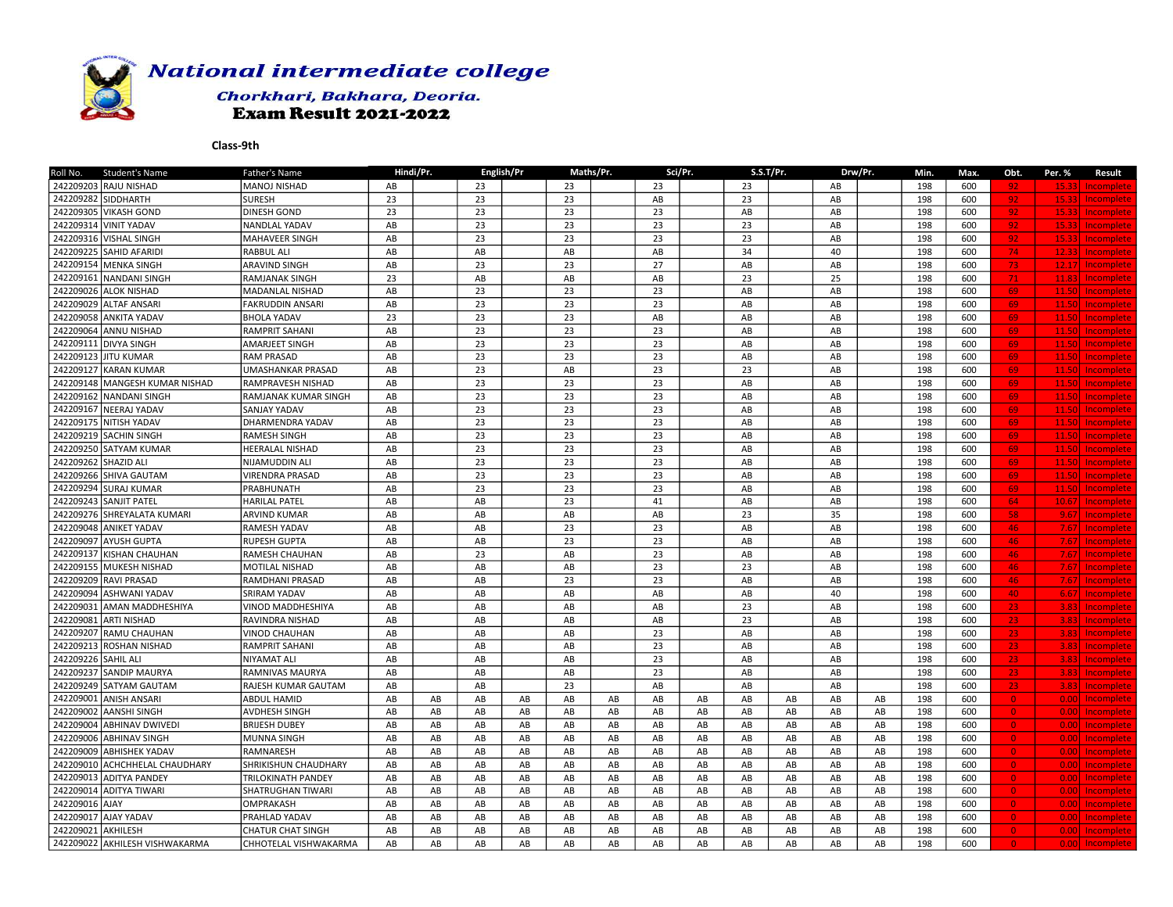

## Chorkhari, Bakhara, Deoria. **Exam Result 2021-2022**

| 242209203 RAJU NISHAD<br>MANOJ NISHAD<br>AB<br>23<br>23<br>23<br>198<br>600<br>23<br>AB<br>92<br>15.33<br>Incomplete<br>242209282 SIDDHARTH<br><b>SURESH</b><br>23<br>23<br>23<br>AB<br>23<br>198<br>600<br>92<br>Incomplete<br>AB<br>15.33<br>242209305 VIKASH GOND<br><b>DINESH GOND</b><br>23<br>23<br>23<br>23<br>AB<br>AB<br>198<br>600<br>92<br>15.33<br>Incomplete<br>23<br>23<br>23<br>23<br>242209314 VINIT YADAV<br>AB<br>198<br>600<br>NANDLAL YADAV<br>AB<br>92<br>15.33<br>Incomplete<br>23<br>23<br>23<br>23<br>242209316 VISHAL SINGH<br><b>MAHAVEER SINGH</b><br>AB<br>AB<br>198<br>600<br>92<br>15.33<br>Incomplete<br>242209225 SAHID AFARIDI<br>34<br>74<br><b>RABBUL ALI</b><br>AB<br>AB<br>AB<br>AB<br>40<br>198<br>600<br>12.33<br>Incomplete<br>242209154 MENKA SINGH<br>23<br>23<br>27<br>73<br><b>ARAVIND SINGH</b><br>AB<br>AB<br>AB<br>198<br>600<br>12.17<br>Incomplete<br>23<br>AB<br>AB<br>23<br>25<br>242209161 NANDANI SINGH<br><b>RAMJANAK SINGH</b><br>AB<br>198<br>600<br>71<br>11.83<br>Incomplete<br>242209026 ALOK NISHAD<br>AB<br>23<br>23<br>23<br>198<br>MADANLAL NISHAD<br>AB<br>AB<br>600<br>69<br>11.50<br>Incomplete<br>242209029 ALTAF ANSARI<br>AB<br>23<br>23<br>23<br>198<br>69<br><b>FAKRUDDIN ANSARI</b><br>AB<br>AB<br>600<br>11.50<br>Incomplete<br>242209058 ANKITA YADAV<br>23<br>23<br><b>BHOLA YADAV</b><br>23<br>AB<br>AB<br>AB<br>198<br>600<br>69<br>11.50<br>Incomplete<br>242209064 ANNU NISHAD<br>23<br>23<br>AB<br>23<br>AB<br>AB<br>198<br>600<br><b>RAMPRIT SAHANI</b><br>69<br>11.50<br>Incomplete<br>242209111 DIVYA SINGH<br>23<br>23<br>23<br>69<br><b>AMARJEET SINGH</b><br>AB<br>AB<br>AB<br>198<br>600<br>11.50<br><b>Incomplete</b><br>242209123 JJITU KUMAR<br>AB<br>23<br>23<br>23<br>AB<br>198<br>RAM PRASAD<br>AB<br>600<br>69<br>11.50<br>Incomplete<br>242209127 KARAN KUMAR<br>AB<br>23<br>AB<br>23<br>23<br>AB<br>198<br>600<br>69<br>UMASHANKAR PRASAD<br>11.50<br>Incomplete<br>23<br>23<br>23<br>242209148 MANGESH KUMAR NISHAD<br>AB<br>$\mathsf{A}\mathsf{B}$<br>AB<br>198<br>RAMPRAVESH NISHAD<br>600<br>69<br>11.50<br><b>Incomplete</b><br>23<br>23<br>23<br>69<br>242209162 NANDANI SINGH<br>AB<br>${\sf AB}$<br>AB<br>198<br>600<br>RAMJANAK KUMAR SINGH<br>11.50<br>Incomplete<br>242209167 NEERAJ YADAV<br>AB<br>23<br>23<br>23<br>198<br>AB<br>AB<br>600<br>69<br><b>SANJAY YADAV</b><br>11.50<br>Incomplete<br>242209175 NITISH YADAV<br>23<br>23<br>23<br>DHARMENDRA YADAV<br>AB<br>AB<br>AB<br>198<br>600<br>69<br>11.50<br>Incomplete<br>23<br>242209219 SACHIN SINGH<br>AB<br>23<br>23<br>AB<br>198<br>600<br><b>RAMESH SINGH</b><br>AB<br>69<br>11.50<br>Incomplete<br>242209250 SATYAM KUMAR<br>23<br>23<br>23<br><b>HEERALAL NISHAD</b><br>AB<br>AB<br>AB<br>198<br>600<br>69<br>11.50<br>Incomplete<br>242209262 SHAZID ALI<br>AB<br>23<br>23<br>23<br>$\mathsf{A}\mathsf{B}$<br>AB<br>198<br>600<br>69<br>NIJAMUDDIN ALI<br>11.50<br>Incomplete<br>23<br>242209266 SHIVA GAUTAM<br>23<br>23<br><b>VIRENDRA PRASAD</b><br>AB<br>AB<br>AB<br>198<br>600<br>69<br>11.50<br>Incomplete<br>242209294 SURAJ KUMAR<br>23<br>23<br>PRABHUNATH<br>AB<br>23<br>AB<br>AB<br>198<br>600<br>69<br>11.50<br>Incomplete<br>242209243 SANJIT PATEL<br>AB<br>23<br><b>HARILAL PATEL</b><br>AB<br>41<br>${\sf AB}$<br>AB<br>198<br>600<br>64<br>10.67<br>Incomplete<br>242209276 SHREYALATA KUMARI<br>AB<br>AB<br>AB<br>23<br>35<br>198<br>58<br><b>ARVIND KUMAR</b><br>AB<br>600<br>9.67<br>Incomplete<br>242209048 ANIKET YADAV<br>23<br>23<br>RAMESH YADAV<br>AB<br>AB<br>AB<br>AB<br>198<br>600<br>46<br>Incomplete<br>7.67<br>23<br>23<br>242209097 AYUSH GUPTA<br><b>RUPESH GUPTA</b><br>AB<br>AB<br>AB<br>AB<br>198<br>600<br>46<br>7.67<br>Incomplete<br>23<br>242209137 KISHAN CHAUHAN<br>23<br>RAMESH CHAUHAN<br>AB<br>AB<br>AB<br>AB<br>198<br>600<br>46<br>7.67<br><b>Incomplete</b> |
|-----------------------------------------------------------------------------------------------------------------------------------------------------------------------------------------------------------------------------------------------------------------------------------------------------------------------------------------------------------------------------------------------------------------------------------------------------------------------------------------------------------------------------------------------------------------------------------------------------------------------------------------------------------------------------------------------------------------------------------------------------------------------------------------------------------------------------------------------------------------------------------------------------------------------------------------------------------------------------------------------------------------------------------------------------------------------------------------------------------------------------------------------------------------------------------------------------------------------------------------------------------------------------------------------------------------------------------------------------------------------------------------------------------------------------------------------------------------------------------------------------------------------------------------------------------------------------------------------------------------------------------------------------------------------------------------------------------------------------------------------------------------------------------------------------------------------------------------------------------------------------------------------------------------------------------------------------------------------------------------------------------------------------------------------------------------------------------------------------------------------------------------------------------------------------------------------------------------------------------------------------------------------------------------------------------------------------------------------------------------------------------------------------------------------------------------------------------------------------------------------------------------------------------------------------------------------------------------------------------------------------------------------------------------------------------------------------------------------------------------------------------------------------------------------------------------------------------------------------------------------------------------------------------------------------------------------------------------------------------------------------------------------------------------------------------------------------------------------------------------------------------------------------------------------------------------------------------------------------------------------------------------------------------------------------------------------------------------------------------------------------------------------------------------------------------------------------------------------------------------------------------------------------------------------------------------------------------------------------------------------------------------------------------------------------------------------------------------------------------------------------------------------------------------------------------------------------------------------------------------------------------------|
|                                                                                                                                                                                                                                                                                                                                                                                                                                                                                                                                                                                                                                                                                                                                                                                                                                                                                                                                                                                                                                                                                                                                                                                                                                                                                                                                                                                                                                                                                                                                                                                                                                                                                                                                                                                                                                                                                                                                                                                                                                                                                                                                                                                                                                                                                                                                                                                                                                                                                                                                                                                                                                                                                                                                                                                                                                                                                                                                                                                                                                                                                                                                                                                                                                                                                                                                                                                                                                                                                                                                                                                                                                                                                                                                                                                                                                                                                         |
|                                                                                                                                                                                                                                                                                                                                                                                                                                                                                                                                                                                                                                                                                                                                                                                                                                                                                                                                                                                                                                                                                                                                                                                                                                                                                                                                                                                                                                                                                                                                                                                                                                                                                                                                                                                                                                                                                                                                                                                                                                                                                                                                                                                                                                                                                                                                                                                                                                                                                                                                                                                                                                                                                                                                                                                                                                                                                                                                                                                                                                                                                                                                                                                                                                                                                                                                                                                                                                                                                                                                                                                                                                                                                                                                                                                                                                                                                         |
|                                                                                                                                                                                                                                                                                                                                                                                                                                                                                                                                                                                                                                                                                                                                                                                                                                                                                                                                                                                                                                                                                                                                                                                                                                                                                                                                                                                                                                                                                                                                                                                                                                                                                                                                                                                                                                                                                                                                                                                                                                                                                                                                                                                                                                                                                                                                                                                                                                                                                                                                                                                                                                                                                                                                                                                                                                                                                                                                                                                                                                                                                                                                                                                                                                                                                                                                                                                                                                                                                                                                                                                                                                                                                                                                                                                                                                                                                         |
|                                                                                                                                                                                                                                                                                                                                                                                                                                                                                                                                                                                                                                                                                                                                                                                                                                                                                                                                                                                                                                                                                                                                                                                                                                                                                                                                                                                                                                                                                                                                                                                                                                                                                                                                                                                                                                                                                                                                                                                                                                                                                                                                                                                                                                                                                                                                                                                                                                                                                                                                                                                                                                                                                                                                                                                                                                                                                                                                                                                                                                                                                                                                                                                                                                                                                                                                                                                                                                                                                                                                                                                                                                                                                                                                                                                                                                                                                         |
|                                                                                                                                                                                                                                                                                                                                                                                                                                                                                                                                                                                                                                                                                                                                                                                                                                                                                                                                                                                                                                                                                                                                                                                                                                                                                                                                                                                                                                                                                                                                                                                                                                                                                                                                                                                                                                                                                                                                                                                                                                                                                                                                                                                                                                                                                                                                                                                                                                                                                                                                                                                                                                                                                                                                                                                                                                                                                                                                                                                                                                                                                                                                                                                                                                                                                                                                                                                                                                                                                                                                                                                                                                                                                                                                                                                                                                                                                         |
|                                                                                                                                                                                                                                                                                                                                                                                                                                                                                                                                                                                                                                                                                                                                                                                                                                                                                                                                                                                                                                                                                                                                                                                                                                                                                                                                                                                                                                                                                                                                                                                                                                                                                                                                                                                                                                                                                                                                                                                                                                                                                                                                                                                                                                                                                                                                                                                                                                                                                                                                                                                                                                                                                                                                                                                                                                                                                                                                                                                                                                                                                                                                                                                                                                                                                                                                                                                                                                                                                                                                                                                                                                                                                                                                                                                                                                                                                         |
|                                                                                                                                                                                                                                                                                                                                                                                                                                                                                                                                                                                                                                                                                                                                                                                                                                                                                                                                                                                                                                                                                                                                                                                                                                                                                                                                                                                                                                                                                                                                                                                                                                                                                                                                                                                                                                                                                                                                                                                                                                                                                                                                                                                                                                                                                                                                                                                                                                                                                                                                                                                                                                                                                                                                                                                                                                                                                                                                                                                                                                                                                                                                                                                                                                                                                                                                                                                                                                                                                                                                                                                                                                                                                                                                                                                                                                                                                         |
|                                                                                                                                                                                                                                                                                                                                                                                                                                                                                                                                                                                                                                                                                                                                                                                                                                                                                                                                                                                                                                                                                                                                                                                                                                                                                                                                                                                                                                                                                                                                                                                                                                                                                                                                                                                                                                                                                                                                                                                                                                                                                                                                                                                                                                                                                                                                                                                                                                                                                                                                                                                                                                                                                                                                                                                                                                                                                                                                                                                                                                                                                                                                                                                                                                                                                                                                                                                                                                                                                                                                                                                                                                                                                                                                                                                                                                                                                         |
|                                                                                                                                                                                                                                                                                                                                                                                                                                                                                                                                                                                                                                                                                                                                                                                                                                                                                                                                                                                                                                                                                                                                                                                                                                                                                                                                                                                                                                                                                                                                                                                                                                                                                                                                                                                                                                                                                                                                                                                                                                                                                                                                                                                                                                                                                                                                                                                                                                                                                                                                                                                                                                                                                                                                                                                                                                                                                                                                                                                                                                                                                                                                                                                                                                                                                                                                                                                                                                                                                                                                                                                                                                                                                                                                                                                                                                                                                         |
|                                                                                                                                                                                                                                                                                                                                                                                                                                                                                                                                                                                                                                                                                                                                                                                                                                                                                                                                                                                                                                                                                                                                                                                                                                                                                                                                                                                                                                                                                                                                                                                                                                                                                                                                                                                                                                                                                                                                                                                                                                                                                                                                                                                                                                                                                                                                                                                                                                                                                                                                                                                                                                                                                                                                                                                                                                                                                                                                                                                                                                                                                                                                                                                                                                                                                                                                                                                                                                                                                                                                                                                                                                                                                                                                                                                                                                                                                         |
|                                                                                                                                                                                                                                                                                                                                                                                                                                                                                                                                                                                                                                                                                                                                                                                                                                                                                                                                                                                                                                                                                                                                                                                                                                                                                                                                                                                                                                                                                                                                                                                                                                                                                                                                                                                                                                                                                                                                                                                                                                                                                                                                                                                                                                                                                                                                                                                                                                                                                                                                                                                                                                                                                                                                                                                                                                                                                                                                                                                                                                                                                                                                                                                                                                                                                                                                                                                                                                                                                                                                                                                                                                                                                                                                                                                                                                                                                         |
|                                                                                                                                                                                                                                                                                                                                                                                                                                                                                                                                                                                                                                                                                                                                                                                                                                                                                                                                                                                                                                                                                                                                                                                                                                                                                                                                                                                                                                                                                                                                                                                                                                                                                                                                                                                                                                                                                                                                                                                                                                                                                                                                                                                                                                                                                                                                                                                                                                                                                                                                                                                                                                                                                                                                                                                                                                                                                                                                                                                                                                                                                                                                                                                                                                                                                                                                                                                                                                                                                                                                                                                                                                                                                                                                                                                                                                                                                         |
|                                                                                                                                                                                                                                                                                                                                                                                                                                                                                                                                                                                                                                                                                                                                                                                                                                                                                                                                                                                                                                                                                                                                                                                                                                                                                                                                                                                                                                                                                                                                                                                                                                                                                                                                                                                                                                                                                                                                                                                                                                                                                                                                                                                                                                                                                                                                                                                                                                                                                                                                                                                                                                                                                                                                                                                                                                                                                                                                                                                                                                                                                                                                                                                                                                                                                                                                                                                                                                                                                                                                                                                                                                                                                                                                                                                                                                                                                         |
|                                                                                                                                                                                                                                                                                                                                                                                                                                                                                                                                                                                                                                                                                                                                                                                                                                                                                                                                                                                                                                                                                                                                                                                                                                                                                                                                                                                                                                                                                                                                                                                                                                                                                                                                                                                                                                                                                                                                                                                                                                                                                                                                                                                                                                                                                                                                                                                                                                                                                                                                                                                                                                                                                                                                                                                                                                                                                                                                                                                                                                                                                                                                                                                                                                                                                                                                                                                                                                                                                                                                                                                                                                                                                                                                                                                                                                                                                         |
|                                                                                                                                                                                                                                                                                                                                                                                                                                                                                                                                                                                                                                                                                                                                                                                                                                                                                                                                                                                                                                                                                                                                                                                                                                                                                                                                                                                                                                                                                                                                                                                                                                                                                                                                                                                                                                                                                                                                                                                                                                                                                                                                                                                                                                                                                                                                                                                                                                                                                                                                                                                                                                                                                                                                                                                                                                                                                                                                                                                                                                                                                                                                                                                                                                                                                                                                                                                                                                                                                                                                                                                                                                                                                                                                                                                                                                                                                         |
|                                                                                                                                                                                                                                                                                                                                                                                                                                                                                                                                                                                                                                                                                                                                                                                                                                                                                                                                                                                                                                                                                                                                                                                                                                                                                                                                                                                                                                                                                                                                                                                                                                                                                                                                                                                                                                                                                                                                                                                                                                                                                                                                                                                                                                                                                                                                                                                                                                                                                                                                                                                                                                                                                                                                                                                                                                                                                                                                                                                                                                                                                                                                                                                                                                                                                                                                                                                                                                                                                                                                                                                                                                                                                                                                                                                                                                                                                         |
|                                                                                                                                                                                                                                                                                                                                                                                                                                                                                                                                                                                                                                                                                                                                                                                                                                                                                                                                                                                                                                                                                                                                                                                                                                                                                                                                                                                                                                                                                                                                                                                                                                                                                                                                                                                                                                                                                                                                                                                                                                                                                                                                                                                                                                                                                                                                                                                                                                                                                                                                                                                                                                                                                                                                                                                                                                                                                                                                                                                                                                                                                                                                                                                                                                                                                                                                                                                                                                                                                                                                                                                                                                                                                                                                                                                                                                                                                         |
|                                                                                                                                                                                                                                                                                                                                                                                                                                                                                                                                                                                                                                                                                                                                                                                                                                                                                                                                                                                                                                                                                                                                                                                                                                                                                                                                                                                                                                                                                                                                                                                                                                                                                                                                                                                                                                                                                                                                                                                                                                                                                                                                                                                                                                                                                                                                                                                                                                                                                                                                                                                                                                                                                                                                                                                                                                                                                                                                                                                                                                                                                                                                                                                                                                                                                                                                                                                                                                                                                                                                                                                                                                                                                                                                                                                                                                                                                         |
|                                                                                                                                                                                                                                                                                                                                                                                                                                                                                                                                                                                                                                                                                                                                                                                                                                                                                                                                                                                                                                                                                                                                                                                                                                                                                                                                                                                                                                                                                                                                                                                                                                                                                                                                                                                                                                                                                                                                                                                                                                                                                                                                                                                                                                                                                                                                                                                                                                                                                                                                                                                                                                                                                                                                                                                                                                                                                                                                                                                                                                                                                                                                                                                                                                                                                                                                                                                                                                                                                                                                                                                                                                                                                                                                                                                                                                                                                         |
|                                                                                                                                                                                                                                                                                                                                                                                                                                                                                                                                                                                                                                                                                                                                                                                                                                                                                                                                                                                                                                                                                                                                                                                                                                                                                                                                                                                                                                                                                                                                                                                                                                                                                                                                                                                                                                                                                                                                                                                                                                                                                                                                                                                                                                                                                                                                                                                                                                                                                                                                                                                                                                                                                                                                                                                                                                                                                                                                                                                                                                                                                                                                                                                                                                                                                                                                                                                                                                                                                                                                                                                                                                                                                                                                                                                                                                                                                         |
|                                                                                                                                                                                                                                                                                                                                                                                                                                                                                                                                                                                                                                                                                                                                                                                                                                                                                                                                                                                                                                                                                                                                                                                                                                                                                                                                                                                                                                                                                                                                                                                                                                                                                                                                                                                                                                                                                                                                                                                                                                                                                                                                                                                                                                                                                                                                                                                                                                                                                                                                                                                                                                                                                                                                                                                                                                                                                                                                                                                                                                                                                                                                                                                                                                                                                                                                                                                                                                                                                                                                                                                                                                                                                                                                                                                                                                                                                         |
|                                                                                                                                                                                                                                                                                                                                                                                                                                                                                                                                                                                                                                                                                                                                                                                                                                                                                                                                                                                                                                                                                                                                                                                                                                                                                                                                                                                                                                                                                                                                                                                                                                                                                                                                                                                                                                                                                                                                                                                                                                                                                                                                                                                                                                                                                                                                                                                                                                                                                                                                                                                                                                                                                                                                                                                                                                                                                                                                                                                                                                                                                                                                                                                                                                                                                                                                                                                                                                                                                                                                                                                                                                                                                                                                                                                                                                                                                         |
|                                                                                                                                                                                                                                                                                                                                                                                                                                                                                                                                                                                                                                                                                                                                                                                                                                                                                                                                                                                                                                                                                                                                                                                                                                                                                                                                                                                                                                                                                                                                                                                                                                                                                                                                                                                                                                                                                                                                                                                                                                                                                                                                                                                                                                                                                                                                                                                                                                                                                                                                                                                                                                                                                                                                                                                                                                                                                                                                                                                                                                                                                                                                                                                                                                                                                                                                                                                                                                                                                                                                                                                                                                                                                                                                                                                                                                                                                         |
|                                                                                                                                                                                                                                                                                                                                                                                                                                                                                                                                                                                                                                                                                                                                                                                                                                                                                                                                                                                                                                                                                                                                                                                                                                                                                                                                                                                                                                                                                                                                                                                                                                                                                                                                                                                                                                                                                                                                                                                                                                                                                                                                                                                                                                                                                                                                                                                                                                                                                                                                                                                                                                                                                                                                                                                                                                                                                                                                                                                                                                                                                                                                                                                                                                                                                                                                                                                                                                                                                                                                                                                                                                                                                                                                                                                                                                                                                         |
|                                                                                                                                                                                                                                                                                                                                                                                                                                                                                                                                                                                                                                                                                                                                                                                                                                                                                                                                                                                                                                                                                                                                                                                                                                                                                                                                                                                                                                                                                                                                                                                                                                                                                                                                                                                                                                                                                                                                                                                                                                                                                                                                                                                                                                                                                                                                                                                                                                                                                                                                                                                                                                                                                                                                                                                                                                                                                                                                                                                                                                                                                                                                                                                                                                                                                                                                                                                                                                                                                                                                                                                                                                                                                                                                                                                                                                                                                         |
|                                                                                                                                                                                                                                                                                                                                                                                                                                                                                                                                                                                                                                                                                                                                                                                                                                                                                                                                                                                                                                                                                                                                                                                                                                                                                                                                                                                                                                                                                                                                                                                                                                                                                                                                                                                                                                                                                                                                                                                                                                                                                                                                                                                                                                                                                                                                                                                                                                                                                                                                                                                                                                                                                                                                                                                                                                                                                                                                                                                                                                                                                                                                                                                                                                                                                                                                                                                                                                                                                                                                                                                                                                                                                                                                                                                                                                                                                         |
|                                                                                                                                                                                                                                                                                                                                                                                                                                                                                                                                                                                                                                                                                                                                                                                                                                                                                                                                                                                                                                                                                                                                                                                                                                                                                                                                                                                                                                                                                                                                                                                                                                                                                                                                                                                                                                                                                                                                                                                                                                                                                                                                                                                                                                                                                                                                                                                                                                                                                                                                                                                                                                                                                                                                                                                                                                                                                                                                                                                                                                                                                                                                                                                                                                                                                                                                                                                                                                                                                                                                                                                                                                                                                                                                                                                                                                                                                         |
|                                                                                                                                                                                                                                                                                                                                                                                                                                                                                                                                                                                                                                                                                                                                                                                                                                                                                                                                                                                                                                                                                                                                                                                                                                                                                                                                                                                                                                                                                                                                                                                                                                                                                                                                                                                                                                                                                                                                                                                                                                                                                                                                                                                                                                                                                                                                                                                                                                                                                                                                                                                                                                                                                                                                                                                                                                                                                                                                                                                                                                                                                                                                                                                                                                                                                                                                                                                                                                                                                                                                                                                                                                                                                                                                                                                                                                                                                         |
|                                                                                                                                                                                                                                                                                                                                                                                                                                                                                                                                                                                                                                                                                                                                                                                                                                                                                                                                                                                                                                                                                                                                                                                                                                                                                                                                                                                                                                                                                                                                                                                                                                                                                                                                                                                                                                                                                                                                                                                                                                                                                                                                                                                                                                                                                                                                                                                                                                                                                                                                                                                                                                                                                                                                                                                                                                                                                                                                                                                                                                                                                                                                                                                                                                                                                                                                                                                                                                                                                                                                                                                                                                                                                                                                                                                                                                                                                         |
| 242209155 MUKESH NISHAD<br>23<br>23<br><b>MOTILAL NISHAD</b><br>AB<br>AB<br>AB<br>AB<br>198<br>600<br>46<br>7.67<br>Incomplete                                                                                                                                                                                                                                                                                                                                                                                                                                                                                                                                                                                                                                                                                                                                                                                                                                                                                                                                                                                                                                                                                                                                                                                                                                                                                                                                                                                                                                                                                                                                                                                                                                                                                                                                                                                                                                                                                                                                                                                                                                                                                                                                                                                                                                                                                                                                                                                                                                                                                                                                                                                                                                                                                                                                                                                                                                                                                                                                                                                                                                                                                                                                                                                                                                                                                                                                                                                                                                                                                                                                                                                                                                                                                                                                                          |
| 242209209 RAVI PRASAD<br>23<br>AB<br>AB<br>23<br>AB<br>AB<br>198<br>46<br>RAMDHANI PRASAD<br>600<br>7.67<br>Incomplete                                                                                                                                                                                                                                                                                                                                                                                                                                                                                                                                                                                                                                                                                                                                                                                                                                                                                                                                                                                                                                                                                                                                                                                                                                                                                                                                                                                                                                                                                                                                                                                                                                                                                                                                                                                                                                                                                                                                                                                                                                                                                                                                                                                                                                                                                                                                                                                                                                                                                                                                                                                                                                                                                                                                                                                                                                                                                                                                                                                                                                                                                                                                                                                                                                                                                                                                                                                                                                                                                                                                                                                                                                                                                                                                                                  |
| 242209094 ASHWANI YADAV<br><b>SRIRAM YADAV</b><br>AB<br>AB<br>AB<br>AB<br>${\sf AB}$<br>40<br>198<br>600<br>40<br>Incomplete<br>6.67                                                                                                                                                                                                                                                                                                                                                                                                                                                                                                                                                                                                                                                                                                                                                                                                                                                                                                                                                                                                                                                                                                                                                                                                                                                                                                                                                                                                                                                                                                                                                                                                                                                                                                                                                                                                                                                                                                                                                                                                                                                                                                                                                                                                                                                                                                                                                                                                                                                                                                                                                                                                                                                                                                                                                                                                                                                                                                                                                                                                                                                                                                                                                                                                                                                                                                                                                                                                                                                                                                                                                                                                                                                                                                                                                    |
| 23<br>242209031 AMAN MADDHESHIYA<br>AB<br>AB<br>AB<br>AB<br>198<br>600<br>23<br>VINOD MADDHESHIYA<br>AB<br>3.83<br>Incomplete                                                                                                                                                                                                                                                                                                                                                                                                                                                                                                                                                                                                                                                                                                                                                                                                                                                                                                                                                                                                                                                                                                                                                                                                                                                                                                                                                                                                                                                                                                                                                                                                                                                                                                                                                                                                                                                                                                                                                                                                                                                                                                                                                                                                                                                                                                                                                                                                                                                                                                                                                                                                                                                                                                                                                                                                                                                                                                                                                                                                                                                                                                                                                                                                                                                                                                                                                                                                                                                                                                                                                                                                                                                                                                                                                           |
| 242209081 ARTI NISHAD<br>AB<br>AB<br>AB<br>AB<br>23<br>198<br>RAVINDRA NISHAD<br>AB<br>600<br>23<br>3.83<br>Incomplete                                                                                                                                                                                                                                                                                                                                                                                                                                                                                                                                                                                                                                                                                                                                                                                                                                                                                                                                                                                                                                                                                                                                                                                                                                                                                                                                                                                                                                                                                                                                                                                                                                                                                                                                                                                                                                                                                                                                                                                                                                                                                                                                                                                                                                                                                                                                                                                                                                                                                                                                                                                                                                                                                                                                                                                                                                                                                                                                                                                                                                                                                                                                                                                                                                                                                                                                                                                                                                                                                                                                                                                                                                                                                                                                                                  |
| 242209207 RAMU CHAUHAN<br>AB<br>23<br><b>VINOD CHAUHAN</b><br>AB<br>AB<br>AB<br>AB<br>198<br>600<br>23<br>3.83<br>Incomplete                                                                                                                                                                                                                                                                                                                                                                                                                                                                                                                                                                                                                                                                                                                                                                                                                                                                                                                                                                                                                                                                                                                                                                                                                                                                                                                                                                                                                                                                                                                                                                                                                                                                                                                                                                                                                                                                                                                                                                                                                                                                                                                                                                                                                                                                                                                                                                                                                                                                                                                                                                                                                                                                                                                                                                                                                                                                                                                                                                                                                                                                                                                                                                                                                                                                                                                                                                                                                                                                                                                                                                                                                                                                                                                                                            |
| 23<br>242209213 ROSHAN NISHAD<br><b>RAMPRIT SAHANI</b><br>AB<br>AB<br>AB<br>AB<br>198<br>600<br>23<br>AB<br>3.83<br>Incomplete                                                                                                                                                                                                                                                                                                                                                                                                                                                                                                                                                                                                                                                                                                                                                                                                                                                                                                                                                                                                                                                                                                                                                                                                                                                                                                                                                                                                                                                                                                                                                                                                                                                                                                                                                                                                                                                                                                                                                                                                                                                                                                                                                                                                                                                                                                                                                                                                                                                                                                                                                                                                                                                                                                                                                                                                                                                                                                                                                                                                                                                                                                                                                                                                                                                                                                                                                                                                                                                                                                                                                                                                                                                                                                                                                          |
| 242209226 SAHIL ALI<br>23<br>AB<br>198<br><b>NIYAMAT ALI</b><br>AB<br>AB<br>AB<br>AB<br>600<br>23<br>Incomplete<br>3.83                                                                                                                                                                                                                                                                                                                                                                                                                                                                                                                                                                                                                                                                                                                                                                                                                                                                                                                                                                                                                                                                                                                                                                                                                                                                                                                                                                                                                                                                                                                                                                                                                                                                                                                                                                                                                                                                                                                                                                                                                                                                                                                                                                                                                                                                                                                                                                                                                                                                                                                                                                                                                                                                                                                                                                                                                                                                                                                                                                                                                                                                                                                                                                                                                                                                                                                                                                                                                                                                                                                                                                                                                                                                                                                                                                 |
| 242209237 SANDIP MAURYA<br>23<br>23<br><b>RAMNIVAS MAURYA</b><br>AB<br>AB<br>AB<br>AB<br>AB<br>198<br>600<br>3.83<br>Incomplete                                                                                                                                                                                                                                                                                                                                                                                                                                                                                                                                                                                                                                                                                                                                                                                                                                                                                                                                                                                                                                                                                                                                                                                                                                                                                                                                                                                                                                                                                                                                                                                                                                                                                                                                                                                                                                                                                                                                                                                                                                                                                                                                                                                                                                                                                                                                                                                                                                                                                                                                                                                                                                                                                                                                                                                                                                                                                                                                                                                                                                                                                                                                                                                                                                                                                                                                                                                                                                                                                                                                                                                                                                                                                                                                                         |
| 242209249 SATYAM GAUTAM<br>23<br>23<br>RAJESH KUMAR GAUTAM<br>AB<br>AB<br>AB<br>AB<br>AB<br>198<br>600<br>3.83 <sup>1</sup><br>Incomplete                                                                                                                                                                                                                                                                                                                                                                                                                                                                                                                                                                                                                                                                                                                                                                                                                                                                                                                                                                                                                                                                                                                                                                                                                                                                                                                                                                                                                                                                                                                                                                                                                                                                                                                                                                                                                                                                                                                                                                                                                                                                                                                                                                                                                                                                                                                                                                                                                                                                                                                                                                                                                                                                                                                                                                                                                                                                                                                                                                                                                                                                                                                                                                                                                                                                                                                                                                                                                                                                                                                                                                                                                                                                                                                                               |
| 242209001 ANISH ANSARI<br><b>ABDUL HAMID</b><br>AB<br>AB<br>AB<br>AB<br>AB<br>198<br>AB<br>AB<br>AB<br>AB<br>AB<br>AB<br>AB<br>600<br>$\bullet$<br><b>Incomplete</b><br>0.00                                                                                                                                                                                                                                                                                                                                                                                                                                                                                                                                                                                                                                                                                                                                                                                                                                                                                                                                                                                                                                                                                                                                                                                                                                                                                                                                                                                                                                                                                                                                                                                                                                                                                                                                                                                                                                                                                                                                                                                                                                                                                                                                                                                                                                                                                                                                                                                                                                                                                                                                                                                                                                                                                                                                                                                                                                                                                                                                                                                                                                                                                                                                                                                                                                                                                                                                                                                                                                                                                                                                                                                                                                                                                                            |
| 242209002 AANSHI SINGH<br>AB<br>AB<br>198<br><b>AVDHESH SINGH</b><br>AB<br>AB<br>AB<br>AB<br>AB<br>AB<br>AB<br>AB<br>AB<br>AB<br>600<br>$\overline{0}$<br>0.001<br>Incomplete                                                                                                                                                                                                                                                                                                                                                                                                                                                                                                                                                                                                                                                                                                                                                                                                                                                                                                                                                                                                                                                                                                                                                                                                                                                                                                                                                                                                                                                                                                                                                                                                                                                                                                                                                                                                                                                                                                                                                                                                                                                                                                                                                                                                                                                                                                                                                                                                                                                                                                                                                                                                                                                                                                                                                                                                                                                                                                                                                                                                                                                                                                                                                                                                                                                                                                                                                                                                                                                                                                                                                                                                                                                                                                           |
| 242209004 ABHINAV DWIVEDI<br>AB<br>AB<br>AB<br>AB<br>AB<br>AB<br>AB<br>AB<br>AB<br>AB<br>198<br>600<br>$\Omega$<br><b>BRIJESH DUBEY</b><br>AB<br>AB<br>0.001<br>Incomplete                                                                                                                                                                                                                                                                                                                                                                                                                                                                                                                                                                                                                                                                                                                                                                                                                                                                                                                                                                                                                                                                                                                                                                                                                                                                                                                                                                                                                                                                                                                                                                                                                                                                                                                                                                                                                                                                                                                                                                                                                                                                                                                                                                                                                                                                                                                                                                                                                                                                                                                                                                                                                                                                                                                                                                                                                                                                                                                                                                                                                                                                                                                                                                                                                                                                                                                                                                                                                                                                                                                                                                                                                                                                                                              |
| 242209006 ABHINAV SINGH<br>AB<br>AB<br>AB<br>AB<br>AB<br>AB<br>AB<br>AB<br>AB<br>AB<br>AB<br>AB<br>198<br>600<br>$\bullet$<br>MUNNA SINGH<br>0.001<br>Incomplete                                                                                                                                                                                                                                                                                                                                                                                                                                                                                                                                                                                                                                                                                                                                                                                                                                                                                                                                                                                                                                                                                                                                                                                                                                                                                                                                                                                                                                                                                                                                                                                                                                                                                                                                                                                                                                                                                                                                                                                                                                                                                                                                                                                                                                                                                                                                                                                                                                                                                                                                                                                                                                                                                                                                                                                                                                                                                                                                                                                                                                                                                                                                                                                                                                                                                                                                                                                                                                                                                                                                                                                                                                                                                                                        |
| 242209009 ABHISHEK YADAV<br>AB<br>AB<br>AB<br>AB<br>AB<br>AB<br>AB<br>AB<br>AB<br>AB<br>AB<br>AB<br>198<br>600<br>RAMNARESH<br>$\bullet$<br>0.00 <br>Incomplete                                                                                                                                                                                                                                                                                                                                                                                                                                                                                                                                                                                                                                                                                                                                                                                                                                                                                                                                                                                                                                                                                                                                                                                                                                                                                                                                                                                                                                                                                                                                                                                                                                                                                                                                                                                                                                                                                                                                                                                                                                                                                                                                                                                                                                                                                                                                                                                                                                                                                                                                                                                                                                                                                                                                                                                                                                                                                                                                                                                                                                                                                                                                                                                                                                                                                                                                                                                                                                                                                                                                                                                                                                                                                                                         |
| 242209010 ACHCHHELAL CHAUDHARY<br>AB<br>AB<br>AB<br>AB<br>AB<br>AB<br>AB<br>AB<br>AB<br>AB<br>AB<br>AB<br>198<br>600<br>SHRIKISHUN CHAUDHARY<br>$\bullet$<br>0.00<br><b>Incomplete</b>                                                                                                                                                                                                                                                                                                                                                                                                                                                                                                                                                                                                                                                                                                                                                                                                                                                                                                                                                                                                                                                                                                                                                                                                                                                                                                                                                                                                                                                                                                                                                                                                                                                                                                                                                                                                                                                                                                                                                                                                                                                                                                                                                                                                                                                                                                                                                                                                                                                                                                                                                                                                                                                                                                                                                                                                                                                                                                                                                                                                                                                                                                                                                                                                                                                                                                                                                                                                                                                                                                                                                                                                                                                                                                  |
| 242209013 ADITYA PANDEY<br>AB<br>AB<br>AB<br>AB<br><b>TRILOKINATH PANDEY</b><br>AB<br>AB<br>AB<br>AB<br>AB<br>AB<br>AB<br>AB<br>198<br>600<br>$\overline{0}$<br>Incomplete<br>0.00                                                                                                                                                                                                                                                                                                                                                                                                                                                                                                                                                                                                                                                                                                                                                                                                                                                                                                                                                                                                                                                                                                                                                                                                                                                                                                                                                                                                                                                                                                                                                                                                                                                                                                                                                                                                                                                                                                                                                                                                                                                                                                                                                                                                                                                                                                                                                                                                                                                                                                                                                                                                                                                                                                                                                                                                                                                                                                                                                                                                                                                                                                                                                                                                                                                                                                                                                                                                                                                                                                                                                                                                                                                                                                      |
| 242209014 ADITYA TIWARI<br>SHATRUGHAN TIWARI<br>AB<br>AB<br>AB<br>AB<br>AB<br>AB<br>AB<br>AB<br>AB<br>AB<br>AB<br>AB<br>198<br>600<br>$\overline{0}$<br>0.00<br>Incomplete                                                                                                                                                                                                                                                                                                                                                                                                                                                                                                                                                                                                                                                                                                                                                                                                                                                                                                                                                                                                                                                                                                                                                                                                                                                                                                                                                                                                                                                                                                                                                                                                                                                                                                                                                                                                                                                                                                                                                                                                                                                                                                                                                                                                                                                                                                                                                                                                                                                                                                                                                                                                                                                                                                                                                                                                                                                                                                                                                                                                                                                                                                                                                                                                                                                                                                                                                                                                                                                                                                                                                                                                                                                                                                              |
| 242209016 AJAY<br>OMPRAKASH<br>AB<br>AB<br>AB<br>AB<br>AB<br>AB<br>AB<br>AB<br>AB<br>AB<br>AB<br>AB<br>198<br>600<br>$\overline{0}$<br>0.001<br>Incomplete                                                                                                                                                                                                                                                                                                                                                                                                                                                                                                                                                                                                                                                                                                                                                                                                                                                                                                                                                                                                                                                                                                                                                                                                                                                                                                                                                                                                                                                                                                                                                                                                                                                                                                                                                                                                                                                                                                                                                                                                                                                                                                                                                                                                                                                                                                                                                                                                                                                                                                                                                                                                                                                                                                                                                                                                                                                                                                                                                                                                                                                                                                                                                                                                                                                                                                                                                                                                                                                                                                                                                                                                                                                                                                                              |
| 242209017 AJAY YADAV<br>AB<br>PRAHLAD YADAV<br>AB<br>AB<br>AB<br>AB<br>AB<br>AB<br>AB<br>AB<br>AB<br>AB<br>AB<br>198<br>600<br>$\Omega$<br>0.00<br>Incomplete                                                                                                                                                                                                                                                                                                                                                                                                                                                                                                                                                                                                                                                                                                                                                                                                                                                                                                                                                                                                                                                                                                                                                                                                                                                                                                                                                                                                                                                                                                                                                                                                                                                                                                                                                                                                                                                                                                                                                                                                                                                                                                                                                                                                                                                                                                                                                                                                                                                                                                                                                                                                                                                                                                                                                                                                                                                                                                                                                                                                                                                                                                                                                                                                                                                                                                                                                                                                                                                                                                                                                                                                                                                                                                                           |
| 242209021 AKHILESH<br><b>CHATUR CHAT SINGH</b><br>AB<br>AB<br>AB<br>AB<br>AB<br>AB<br>AB<br>AB<br>AB<br>AB<br>AB<br>AB<br>198<br>600<br>$\overline{0}$<br>0.001<br>Incomplete                                                                                                                                                                                                                                                                                                                                                                                                                                                                                                                                                                                                                                                                                                                                                                                                                                                                                                                                                                                                                                                                                                                                                                                                                                                                                                                                                                                                                                                                                                                                                                                                                                                                                                                                                                                                                                                                                                                                                                                                                                                                                                                                                                                                                                                                                                                                                                                                                                                                                                                                                                                                                                                                                                                                                                                                                                                                                                                                                                                                                                                                                                                                                                                                                                                                                                                                                                                                                                                                                                                                                                                                                                                                                                           |
| 242209022 AKHILESH VISHWAKARMA<br>CHHOTELAL VISHWAKARMA<br>AB<br>AB<br>AB<br>AB<br>AB<br>AB<br>AB<br>AB<br>AB<br>AB<br>AB<br>AB<br>198<br>600<br>$\overline{0}$<br>0.00 Incomplete                                                                                                                                                                                                                                                                                                                                                                                                                                                                                                                                                                                                                                                                                                                                                                                                                                                                                                                                                                                                                                                                                                                                                                                                                                                                                                                                                                                                                                                                                                                                                                                                                                                                                                                                                                                                                                                                                                                                                                                                                                                                                                                                                                                                                                                                                                                                                                                                                                                                                                                                                                                                                                                                                                                                                                                                                                                                                                                                                                                                                                                                                                                                                                                                                                                                                                                                                                                                                                                                                                                                                                                                                                                                                                      |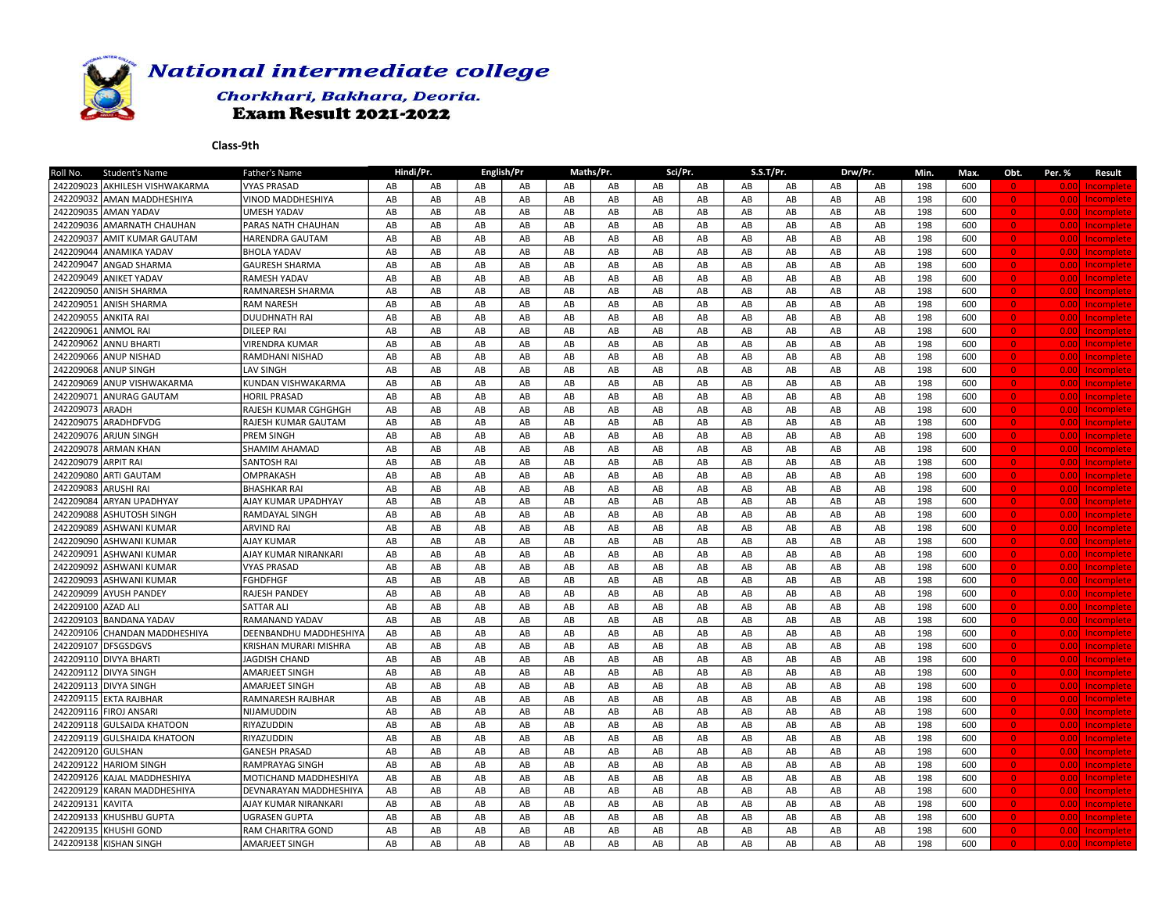

## Chorkhari, Bakhara, Deoria. **Exam Result 2021-2022**

| Student's Name<br>Roll No.            | Father's Name          |    | Hindi/Pr. |               | English/Pr             |            | Maths/Pr. |                        | Sci/Pr. |    | S.S.T/Pr.  |    | Drw/Pr.                | Min. | Max. | Obt.           | Per. %            | Result            |
|---------------------------------------|------------------------|----|-----------|---------------|------------------------|------------|-----------|------------------------|---------|----|------------|----|------------------------|------|------|----------------|-------------------|-------------------|
| 242209023 AKHILESH VISHWAKARMA        | <b>VYAS PRASAD</b>     | AB | AB        | AB            | AB                     | AB         | AB        | AB                     | AB      | AB | AB         | AB | AB                     | 198  | 600  | $\overline{0}$ | 0.001             | Incomplete        |
| 242209032<br><b>AMAN MADDHESHIYA</b>  | VINOD MADDHESHIYA      | AB | AB        | AB            | AB                     | AB         | AB        | AB                     | AB      | AB | AB         | AB | AB                     | 198  | 600  | $\overline{0}$ | 0.00              | Incomplete        |
| 242209035 AMAN YADAV                  | <b>UMESH YADAV</b>     | AB | AB        | AB            | AB                     | AB         | AB        | AB                     | AB      | AB | AB         | AB | AB                     | 198  | 600  | $\bullet$      | 0.001             | Incomplete        |
| 242209036<br><b>AMARNATH CHAUHAN</b>  | PARAS NATH CHAUHAN     | AB | AB        | $\mathsf{AB}$ | AB                     | AB         | AB        | AB                     | AB      | AB | AB         | AB | AB                     | 198  | 600  | $\bullet$      | 0.00              | <b>Incomplete</b> |
| 242209037<br><b>AMIT KUMAR GAUTAM</b> | <b>HARENDRA GAUTAM</b> | AB | AB        | AB            | AB                     | AB         | AB        | AB                     | AB      | AB | AB         | AB | AB                     | 198  | 600  | $\overline{0}$ | 0.001             | Incomplete        |
| 242209044<br>LANAMIKA YADAV           | <b>BHOLA YADAV</b>     | AB | AB        | AB            | AB                     | AB         | AB        | AB                     | AB      | AB | AB         | AB | AB                     | 198  | 600  | $\overline{0}$ | 0.00              | Incomplete        |
| 242209047<br>ANGAD SHARMA             | <b>GAURESH SHARMA</b>  | AB | AB        | AB            | AB                     | AB         | AB        | AB                     | AB      | AB | AB         | AB | AB                     | 198  | 600  | $\overline{0}$ | 0.00              | Incomplete        |
| 242209049<br><b>ANIKET YADAV</b>      | RAMESH YADAV           | AB | AB        | AB            | AB                     | AB         | AB        | AB                     | AB      | AB | AB         | AB | AB                     | 198  | 600  | $\overline{0}$ | 0.001             | <b>Incomplete</b> |
| 242209050 ANISH SHARMA                | RAMNARESH SHARMA       | AB | AB        | AB            | AB                     | AB         | AB        | AB                     | AB      | AB | AB         | AB | AB                     | 198  | 600  | $\Omega$       | 0.001             | Incomplete        |
| 242209051<br><b>ANISH SHARMA</b>      | RAM NARESH             | AB | AB        | AB            | $\mathsf{A}\mathsf{B}$ | AB         | AB        | AB                     | AB      | AB | AB         | AB | AB                     | 198  | 600  | $\overline{0}$ | 0.001             | Incomplete        |
| 242209055<br><b>JANKITA RAI</b>       | <b>DUUDHNATH RAI</b>   | AB | AB        | AB            | AB                     | AB         | AB        | AB                     | AB      | AB | AB         | AB | AB                     | 198  | 600  | $\bullet$      | 0.001             | Incomplete        |
| 242209061<br><b>ANMOL RAI</b>         | DILEEP RAI             | AB | AB        | AB            | AB                     | AB         | AB        | AB                     | AB      | AB | AB         | AB | AB                     | 198  | 600  | $\overline{0}$ | 0.001             | Incomplete        |
| 242209062<br>ANNU BHARTI              | <b>VIRENDRA KUMAR</b>  | AB | AB        | AB            | AB                     | AB         | AB        | AB                     | AB      | AB | AB         | AB | AB                     | 198  | 600  | $\bullet$      | 0.00              | <b>Incomplete</b> |
| 242209066<br><b>ANUP NISHAD</b>       | RAMDHANI NISHAD        | AB | AB        | AB            | AB                     | AB         | AB        | AB                     | AB      | AB | AB         | AB | AB                     | 198  | 600  | $\overline{0}$ | 0.001             | Incomplete        |
| 242209068<br><b>LANUP SINGH</b>       | <b>LAV SINGH</b>       | AB | AB        | AB            | AB                     | AB         | AB        | AB                     | AB      | AB | AB         | AB | AB                     | 198  | 600  | $\overline{0}$ | 0.001             | Incomplete        |
| 242209069<br><b>ANUP VISHWAKARMA</b>  | KUNDAN VISHWAKARMA     | AB | AB        | AB            | AB                     | AB         | AB        | AB                     | AB      | AB | AB         | AB | AB                     | 198  | 600  | $\overline{0}$ | 0.001             | Incomplete        |
| 242209071<br><b>LANURAG GAUTAM</b>    | <b>HORIL PRASAD</b>    | AB | AB        | ${\sf AB}$    | AB                     | AB         | AB        | AB                     | AB      | AB | AB         | AB | AB                     | 198  | 600  | $\Omega$       | 0.00              | Incomplete        |
| 242209073<br><b>ARADH</b>             | RAJESH KUMAR CGHGHGH   | AB | AB        | AB            | AB                     | AB         | AB        | AB                     | AB      | AB | AB         | AB | AB                     | 198  | 600  | $\overline{0}$ | 0.001             | Incomplete        |
| 242209075<br>ARADHDFVDG               | RAJESH KUMAR GAUTAM    | AB | AB        | AB            | $\mathsf{A}\mathsf{B}$ | AB         | AB        | AB                     | AB      | AB | AB         | AB | AB                     | 198  | 600  | $\overline{0}$ | 0.00 <sub>1</sub> | Incomplete        |
| 242209076<br>larjun singh             | PREM SINGH             | AB | AB        | AB            | AB                     | AB         | AB        | AB                     | AB      | AB | AB         | AB | AB                     | 198  | 600  | $\bullet$      | 0.001             | <b>Incomplete</b> |
| 242209078<br><b>ARMAN KHAN</b>        | SHAMIM AHAMAD          | AB | AB        | AB            | AB                     | AB         | AB        | AB                     | AB      | AB | AB         | AB | AB                     | 198  | 600  | $\overline{0}$ | 0.00              | Incomplete        |
| 242209079<br><b>ARPIT RAI</b>         | SANTOSH RAI            | AB | AB        | AB            | AB                     | AB         | AB        | AB                     | AB      | AB | AB         | AB | AB                     | 198  | 600  | $\overline{0}$ | 0.00              | <b>Incomplete</b> |
| 242209080<br><b>ARTI GAUTAM</b>       | OMPRAKASH              | AB | AB        | AB            | AB                     | AB         | AB        | AB                     | AB      | AB | AB         | AB | AB                     | 198  | 600  | $\overline{0}$ | 0.00              | Incomplete        |
| 242209083<br><b>ARUSHI RAI</b>        | <b>BHASHKAR RAI</b>    | AB | AB        | AB            | AB                     | AB         | AB        | AB                     | AB      | AB | AB         | AB | AB                     | 198  | 600  | $\overline{0}$ | 0.001             | Incomplete        |
| 242209084<br><b>ARYAN UPADHYAY</b>    | AJAY KUMAR UPADHYAY    | AB | AB        | AB            | AB                     | AB         | AB        | AB                     | AB      | AB | AB         | AB | AB                     | 198  | 600  | $\overline{0}$ | 0.001             | Incomplete        |
| 242209088<br><b>ASHUTOSH SINGH</b>    | RAMDAYAL SINGH         | AB | AB        | ${\sf AB}$    | ${\sf AB}$             | AB         | AB        | $\mathsf{A}\mathsf{B}$ | AB      | AB | AB         | AB | AB                     | 198  | 600  | $\Omega$       | 0.001             | Incomplete        |
| 242209089<br><b>ASHWANI KUMAR</b>     | <b>ARVIND RAI</b>      | AB | AB        | AB            | AB                     | AB         | AB        | AB                     | AB      | AB | AB         | AB | AB                     | 198  | 600  | $\bullet$      | 0.001             | Incomplete        |
| 242209090<br><b>ASHWANI KUMAR</b>     | AJAY KUMAR             | AB | AB        | AB            | $\mathsf{A}\mathsf{B}$ | AB         | AB        | AB                     | AB      | AB | AB         | AB | AB                     | 198  | 600  | $\overline{0}$ | 0.001             | Incomplete        |
| 242209091<br>ASHWANI KUMAR            | AJAY KUMAR NIRANKARI   | AB | AB        | AB            | AB                     | AB         | AB        | AB                     | AB      | AB | AB         | AB | AB                     | 198  | 600  | $\bullet$      | 0.00              | <b>Incomplete</b> |
| 242209092<br><b>ASHWANI KUMAR</b>     | <b>VYAS PRASAD</b>     | AB | AB        | AB            | AB                     | AB         | AB        | AB                     | AB      | AB | AB         | AB | AB                     | 198  | 600  | $\overline{0}$ | 0.001             | Incomplete        |
| 242209093<br><b>ASHWANI KUMAR</b>     | <b>FGHDFHGF</b>        | AB | AB        | $\mathsf{AB}$ | AB                     | AB         | AB        | AB                     | AB      | AB | AB         | AB | AB                     | 198  | 600  | $\bullet$      | 0.00 <sub>l</sub> | Incomplete        |
| 242209099<br><b>AYUSH PANDEY</b>      | RAJESH PANDEY          | AB | AB        | AB            | AB                     | AB         | AB        | AB                     | AB      | AB | AB         | AB | AB                     | 198  | 600  | $\overline{0}$ | 0.00              | Incomplete        |
| 242209100<br>AZAD ALI                 | <b>SATTAR ALI</b>      | AB | AB        | AB            | AB                     | AB         | AB        | AB                     | AB      | AB | AB         | AB | AB                     | 198  | 600  | $\Omega$       | 0.00              | <b>Incomplete</b> |
| 242209103<br><b>BANDANA YADAV</b>     | RAMANAND YADAV         | AB | AB        | $\mathsf{AB}$ | $\mathsf{A}\mathsf{B}$ | AB         | AB        | AB                     | AB      | AB | AB         | AB | $\mathsf{A}\mathsf{B}$ | 198  | 600  | $\overline{0}$ | 0.001             | Incomplete        |
| 242209106 CHANDAN MADDHESHIYA         | DEENBANDHU MADDHESHIYA | AB | AB        | AB            | AB                     | ${\sf AB}$ | AB        | ${\sf AB}$             | AB      | AB | ${\sf AB}$ | AB | AB                     | 198  | 600  | $\overline{0}$ | 0.001             | Incomplete        |
| 242209107<br><b>DFSGSDGVS</b>         | KRISHAN MURARI MISHRA  | AB | AB        | AB            | AB                     | AB         | AB        | AB                     | AB      | AB | AB         | AB | AB                     | 198  | 600  | $\bullet$      | 0.001             | Incomplete        |
| 242209110 DIVYA BHARTI                | JAGDISH CHAND          | AB | AB        | AB            | AB                     | AB         | AB        | AB                     | AB      | AB | AB         | AB | AB                     | 198  | 600  | $\bullet$      | 0.00              | <b>Incomplete</b> |
| 242209112<br><b>DIVYA SINGH</b>       | <b>AMARJEET SINGH</b>  | AB | AB        | $\mathsf{AB}$ | AB                     | AB         | AB        | AB                     | AB      | AB | AB         | AB | AB                     | 198  | 600  | $\overline{0}$ | 0.00              | <b>Incomplete</b> |
| 242209113<br><b>DIVYA SINGH</b>       | <b>AMARJEET SINGH</b>  | AB | AB        | AB            | AB                     | AB         | AB        | AB                     | AB      | AB | AB         | AB | AB                     | 198  | 600  | $\overline{0}$ | 0.001             | Incomplete        |
| 242209115 EKTA RAJBHAR                | RAMNARESH RAJBHAR      | AB | AB        | AB            | AB                     | AB         | AB        | AB                     | AB      | AB | AB         | AB | AB                     | 198  | 600  | $\bullet$      | 0.00              | Incomplete        |
| 242209116 FIROJ ANSARI                | NIJAMUDDIN             | AB | AB        | AB            | AB                     | AB         | AB        | AB                     | AB      | AB | AB         | AB | AB                     | 198  | 600  | $\overline{0}$ | 0.001             | Incomplete        |
| 242209118 GULSAIDA KHATOON            | RIYAZUDDIN             | AB | AB        | AB            | AB                     | AB         | AB        | AB                     | AB      | AB | AB         | AB | AB                     | 198  | 600  | $\Omega$       | 0.001             | Incomplete        |
| 242209119 GULSHAIDA KHATOON           | RIYAZUDDIN             | AB | AB        | AB            | AB                     | AB         | AB        | AB                     | AB      | AB | AB         | AB | AB                     | 198  | 600  | $\bullet$      | 0.001             | Incomplete        |
| 242209120 GULSHAN                     | <b>GANESH PRASAD</b>   | AB | AB        | AB            | AB                     | AB         | AB        | AB                     | AB      | AB | AB         | AB | AB                     | 198  | 600  | $\bullet$      | 0.00              | <b>Incomplete</b> |
| 242209122<br><b>HARIOM SINGH</b>      | RAMPRAYAG SINGH        | AB | AB        | AB            | AB                     | AB         | AB        | AB                     | AB      | AB | AB         | AB | AB                     | 198  | 600  | $\bullet$      | 0.00              | <b>Incomplete</b> |
| 242209126 KAJAL MADDHESHIYA           | MOTICHAND MADDHESHIYA  | AB | AB        | AB            | AB                     | AB         | AB        | AB                     | AB      | AB | AB         | AB | AB                     | 198  | 600  | $\overline{0}$ | 0.001             | Incomplete        |
| 242209129<br>KARAN MADDHESHIYA        | DEVNARAYAN MADDHESHIYA | AB | AB        | $\mathsf{AB}$ | $\mathsf{A}\mathsf{B}$ | AB         | AB        | AB                     | AB      | AB | AB         | AB | AB                     | 198  | 600  | $\overline{0}$ | 0.00              | Incomplete        |
| 242209131<br>KAVITA                   | AJAY KUMAR NIRANKARI   | AB | AB        | AB            | AB                     | AB         | AB        | AB                     | AB      | AB | AB         | AB | AB                     | 198  | 600  | $\overline{0}$ | 0.001             | Incomplete        |
| 242209133<br>KHUSHBU GUPTA            | UGRASEN GUPTA          | AB | AB        | AB            | AB                     | AB         | AB        | AB                     | AB      | AB | AB         | AB | AB                     | 198  | 600  | $\Omega$       | 0.00              | Incomplete        |
| 242209135<br>KHUSHI GOND              | RAM CHARITRA GOND      | AB | AB        | AB            | AB                     | AB         | AB        | AB                     | AB      | AB | AB         | AB | AB                     | 198  | 600  | $\overline{0}$ | 0.001             | Incomplete        |
| 242209138 KISHAN SINGH                | <b>AMARJEET SINGH</b>  | AB | AB        | AB            | AB                     | AB         | AB        | AB                     | AB      | AB | AB         | AB | AB                     | 198  | 600  | $\overline{0}$ |                   | 0.00 Incomplete   |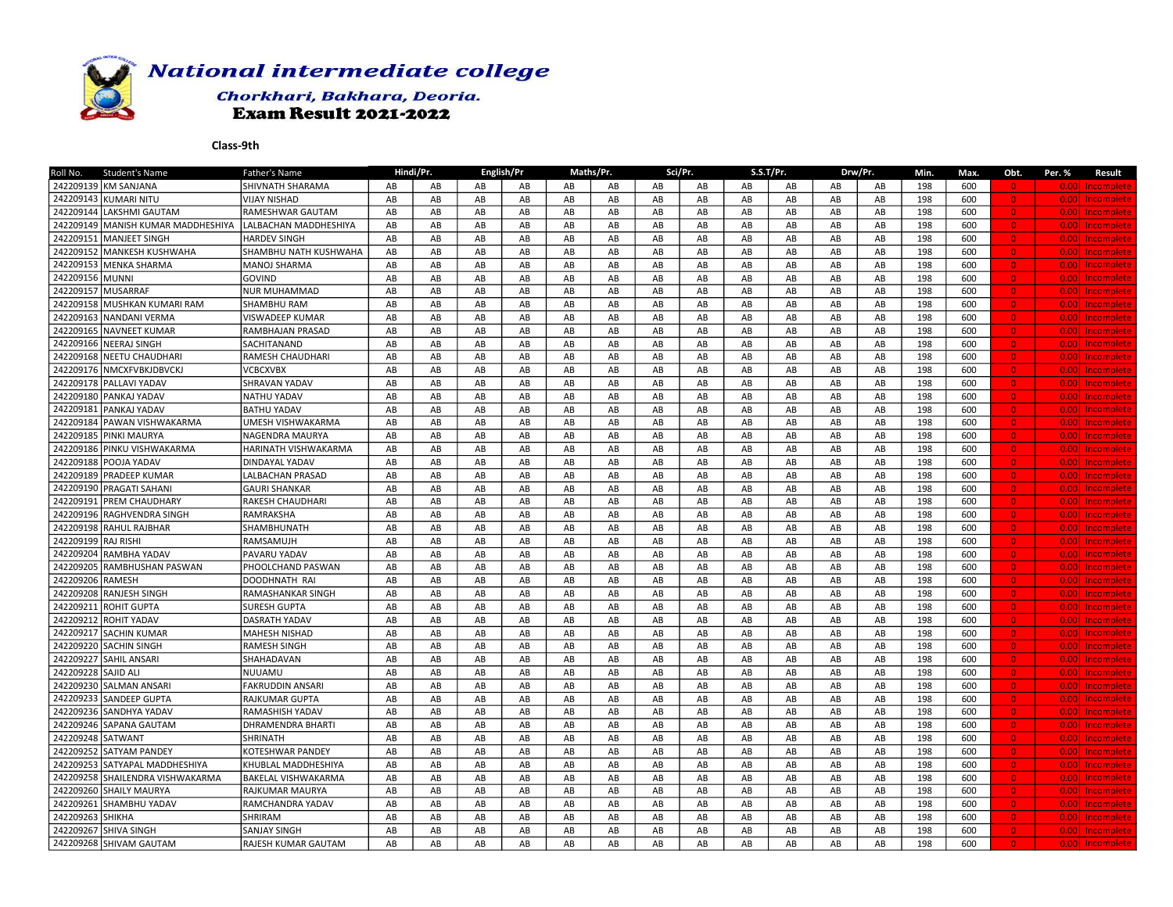

## Chorkhari, Bakhara, Deoria. **Exam Result 2021-2022**

| Student's Name<br>Roll No.               | Father's Name              |    | Hindi/Pr. |               | English/Pr             |            | Maths/Pr. |                        | Sci/Pr.                |    | S.S.T/Pr.              |    | Drw/Pr.                | Min. | Max. | Obt.           | Per. %            | Result            |
|------------------------------------------|----------------------------|----|-----------|---------------|------------------------|------------|-----------|------------------------|------------------------|----|------------------------|----|------------------------|------|------|----------------|-------------------|-------------------|
| 242209139 KM SANJANA                     | SHIVNATH SHARAMA           | AB | AB        | AB            | AB                     | AB         | AB        | AB                     | AB                     | AB | AB                     | AB | AB                     | 198  | 600  | $\overline{0}$ | 0.001             | Incomplete        |
| 242209143 KUMARI NITU                    | <b>VIJAY NISHAD</b>        | AB | AB        | AB            | AB                     | AB         | AB        | AB                     | AB                     | AB | AB                     | AB | AB                     | 198  | 600  | $\overline{0}$ | 0.001             | Incomplete        |
| 242209144<br>LAKSHMI GAUTAM              | RAMESHWAR GAUTAM           | AB | AB        | AB            | AB                     | AB         | AB        | AB                     | AB                     | AB | AB                     | AB | AB                     | 198  | 600  | $\bullet$      | 0.001             | Incomplete        |
| 242209149<br>MANISH KUMAR MADDHESHIYA    | LALBACHAN MADDHESHIYA      | AB | AB        | AB            | AB                     | AB         | AB        | AB                     | AB                     | AB | AB                     | AB | AB                     | 198  | 600  | $\bullet$      | 0.00              | <b>Incomplete</b> |
| 242209151<br><b>IMANJEET SINGH</b>       | <b>HARDEV SINGH</b>        | AB | AB        | AB            | AB                     | AB         | AB        | AB                     | AB                     | AB | AB                     | AB | AB                     | 198  | 600  | $\overline{0}$ | 0.001             | <b>Incomplete</b> |
| 242209152<br><b>MANKESH KUSHWAHA</b>     | SHAMBHU NATH KUSHWAHA      | AB | AB        | AB            | AB                     | AB         | AB        | AB                     | AB                     | AB | AB                     | AB | AB                     | 198  | 600  | $\overline{0}$ | 0.001             | Incomplete        |
| 242209153<br>MENKA SHARMA                | MANOJ SHARMA               | AB | AB        | AB            | AB                     | AB         | AB        | AB                     | AB                     | AB | AB                     | AB | AB                     | 198  | 600  | $\overline{0}$ | 0.00              | Incomplete        |
| 242209156 MUNNI                          | <b>GOVIND</b>              | AB | AB        | AB            | AB                     | AB         | AB        | AB                     | AB                     | AB | AB                     | AB | AB                     | 198  | 600  | $\overline{0}$ | 0.001             | Incomplete        |
| 242209157<br><b>MUSARRAF</b>             | <b>NUR MUHAMMAD</b>        | AB | AB        | AB            | AB                     | AB         | AB        | AB                     | AB                     | AB | AB                     | AB | AB                     | 198  | 600  | $\Omega$       | 0.001             | <b>Incomplete</b> |
| 242209158<br>MUSHKAN KUMARI RAM          | SHAMBHU RAM                | AB | AB        | AB            | AB                     | AB         | AB        | AB                     | AB                     | AB | AB                     | AB | AB                     | 198  | 600  | $\overline{0}$ | 0.001             | Incomplete        |
| 242209163<br><b>NANDANI VERMA</b>        | VISWADEEP KUMAR            | AB | AB        | AB            | AB                     | AB         | AB        | AB                     | AB                     | AB | AB                     | AB | AB                     | 198  | 600  | $\bullet$      | 0.00 <sub>1</sub> | Incomplete        |
| 242209165 NAVNEET KUMAR                  | RAMBHAJAN PRASAD           | AB | AB        | AB            | AB                     | AB         | AB        | AB                     | AB                     | AB | AB                     | AB | AB                     | 198  | 600  | $\overline{0}$ | 0.001             | <b>Incomplete</b> |
| 242209166 NEERAJ SINGH                   | SACHITANAND                | AB | AB        | AB            | AB                     | AB         | AB        | AB                     | AB                     | AB | AB                     | AB | AB                     | 198  | 600  | $\bullet$      | 0.00              | <b>Incomplete</b> |
| 242209168<br><b>NEETU CHAUDHARI</b>      | <b>RAMESH CHAUDHARI</b>    | AB | AB        | AB            | AB                     | AB         | AB        | AB                     | AB                     | AB | AB                     | AB | AB                     | 198  | 600  | $\overline{0}$ | 0.001             | Incomplete        |
| 242209176 MMCXFVBKJDBVCKJ                | <b>VCBCXVBX</b>            | AB | AB        | AB            | AB                     | AB         | AB        | AB                     | AB                     | AB | AB                     | AB | AB                     | 198  | 600  | $\overline{0}$ | 0.001             | Incomplete        |
| 242209178<br><b>PALLAVI YADAV</b>        | SHRAVAN YADAV              | AB | AB        | AB            | AB                     | AB         | AB        | AB                     | $\mathsf{A}\mathsf{B}$ | AB | $\mathsf{A}\mathsf{B}$ | AB | AB                     | 198  | 600  | $\bullet$      | 0.00              | Incomplete        |
| 242209180 PANKAJ YADAV                   | <b>NATHU YADAV</b>         | AB | AB        | ${\sf AB}$    | AB                     | AB         | AB        | AB                     | AB                     | AB | AB                     | AB | AB                     | 198  | 600  | $\Omega$       | 0.001             | Incomplete        |
| 242209181<br><b>PANKAJ YADAV</b>         | <b>BATHU YADAV</b>         | AB | AB        | AB            | AB                     | AB         | AB        | AB                     | AB                     | AB | AB                     | AB | AB                     | 198  | 600  | $\overline{0}$ | 0.001             | Incomplete        |
| 242209184 PAWAN VISHWAKARMA              | UMESH VISHWAKARMA          | AB | AB        | AB            | AB                     | AB         | AB        | AB                     | AB                     | AB | AB                     | AB | AB                     | 198  | 600  | $\bullet$      | 0.00 <sub>1</sub> | Incomplete        |
| 242209185<br>PINKI MAURYA                | <b>NAGENDRA MAURYA</b>     | AB | AB        | AB            | AB                     | AB         | AB        | AB                     | AB                     | AB | AB                     | AB | AB                     | 198  | 600  | $\bullet$      | 0.001             | <b>Incomplete</b> |
| 242209186 PINKU VISHWAKARMA              | HARINATH VISHWAKARMA       | AB | AB        | AB            | AB                     | AB         | AB        | AB                     | AB                     | AB | AB                     | AB | AB                     | 198  | 600  | $\overline{0}$ | 0.00              | <b>Incomplete</b> |
| 242209188<br>POOJA YADAV                 | DINDAYAL YADAV             | AB | AB        | AB            | AB                     | AB         | AB        | AB                     | AB                     | AB | AB                     | AB | AB                     | 198  | 600  | $\overline{0}$ | 0.00              | <b>Incomplete</b> |
| 242209189 PRADEEP KUMAR                  | LALBACHAN PRASAD           | AB | AB        | AB            | AB                     | AB         | AB        | AB                     | AB                     | AB | AB                     | AB | AB                     | 198  | 600  | $\overline{0}$ | 0.00              | Incomplete        |
| 242209190 PRAGATI SAHANI                 | <b>GAURI SHANKAR</b>       | AB | AB        | AB            | AB                     | AB         | AB        | AB                     | AB                     | AB | AB                     | AB | AB                     | 198  | 600  | $\overline{0}$ | 0.001             | Incomplete        |
| 242209191<br><b>PREM CHAUDHARY</b>       | RAKESH CHAUDHARI           | AB | AB        | AB            | AB                     | AB         | AB        | AB                     | AB                     | AB | AB                     | AB | AB                     | 198  | 600  | $\overline{0}$ | 0.001             | Incomplete        |
| 242209196 RAGHVENDRA SINGH               | RAMRAKSHA                  | AB | AB        | ${\sf AB}$    | ${\sf AB}$             | AB         | AB        | $\mathsf{A}\mathsf{B}$ | AB                     | AB | AB                     | AB | AB                     | 198  | 600  | $\Omega$       | 0.001             | Incomplete        |
| 242209198 RAHUL RAJBHAR                  | SHAMBHUNATH                | AB | AB        | AB            | AB                     | AB         | AB        | AB                     | AB                     | AB | AB                     | AB | AB                     | 198  | 600  | $\bullet$      | 0.001             | Incomplete        |
| 242209199 RAJ RISHI                      | RAMSAMUJH                  | AB | AB        | AB            | $\mathsf{A}\mathsf{B}$ | AB         | AB        | AB                     | AB                     | AB | AB                     | AB | AB                     | 198  | 600  | $\overline{0}$ | 0.001             | <b>Incomplete</b> |
| 242209204<br>RAMBHA YADAV                | PAVARU YADAV               | AB | AB        | AB            | AB                     | AB         | AB        | AB                     | AB                     | AB | AB                     | AB | AB                     | 198  | 600  | $\bullet$      | 0.00              | <b>Incomplete</b> |
| 242209205<br>RAMBHUSHAN PASWAN           | PHOOLCHAND PASWAN          | AB | AB        | AB            | AB                     | AB         | AB        | AB                     | AB                     | AB | AB                     | AB | AB                     | 198  | 600  | $\overline{0}$ | 0.001             | Incomplete        |
| 242209206<br>RAMESH                      | DOODHNATH RAI              | AB | AB        | AB            | AB                     | AB         | AB        | AB                     | AB                     | AB | AB                     | AB | AB                     | 198  | 600  | $\bullet$      | 0.00 <sub>l</sub> | Incomplete        |
| 242209208<br>RANJESH SINGH               | RAMASHANKAR SINGH          | AB | AB        | AB            | AB                     | AB         | AB        | AB                     | AB                     | AB | AB                     | AB | AB                     | 198  | 600  | $\overline{0}$ | 0.00              | Incomplete        |
| 242209211<br><b>ROHIT GUPTA</b>          | SURESH GUPTA               | AB | AB        | AB            | AB                     | AB         | AB        | AB                     | AB                     | AB | AB                     | AB | AB                     | 198  | 600  | $\Omega$       | 0.001             | <b>Incomplete</b> |
| 242209212<br><b>ROHIT YADAV</b>          | DASRATH YADAV              | AB | AB        | $\mathsf{AB}$ | AB                     | AB         | AB        | AB                     | AB                     | AB | AB                     | AB | $\mathsf{A}\mathsf{B}$ | 198  | 600  | $\overline{0}$ | 0.001             | Incomplete        |
| 242209217 SACHIN KUMAR                   | MAHESH NISHAD              | AB | AB        | AB            | AB                     | ${\sf AB}$ | AB        | ${\sf AB}$             | ${\sf AB}$             | AB | AB                     | AB | AB                     | 198  | 600  | $\overline{0}$ | 0.001             | Incomplete        |
| 242209220 SACHIN SINGH                   | RAMESH SINGH               | AB | AB        | AB            | AB                     | AB         | AB        | AB                     | AB                     | AB | AB                     | AB | AB                     | 198  | 600  | $\bullet$      | 0.001             | Incomplete        |
| 242209227 SAHIL ANSARI                   | SHAHADAVAN                 | AB | AB        | AB            | AB                     | AB         | AB        | AB                     | AB                     | AB | AB                     | AB | AB                     | 198  | 600  | $\bullet$      | 0.001             | Incomplete        |
| 242209228<br><b>SAJID ALI</b>            | NUUAMU                     | AB | AB        | $\mathsf{AB}$ | AB                     | AB         | AB        | AB                     | AB                     | AB | AB                     | AB | AB                     | 198  | 600  | $\overline{0}$ | 0.00              | Incomplete        |
| 242209230 SALMAN ANSARI                  | <b>FAKRUDDIN ANSARI</b>    | AB | AB        | AB            | AB                     | AB         | AB        | AB                     | AB                     | AB | AB                     | AB | AB                     | 198  | 600  | $\overline{0}$ | 0.00              | Incomplete        |
| 242209233<br><b>SANDEEP GUPTA</b>        | RAJKUMAR GUPTA             | AB | AB        | AB            | AB                     | AB         | AB        | AB                     | AB                     | AB | AB                     | AB | AB                     | 198  | 600  | $\bullet$      | 0.00              | <b>Incomplete</b> |
| 242209236 SANDHYA YADAV                  | RAMASHISH YADAV            | AB | AB        | AB            | AB                     | AB         | AB        | AB                     | AB                     | AB | AB                     | AB | AB                     | 198  | 600  | $\overline{0}$ | 0.001             | Incomplete        |
| 242209246 SAPANA GAUTAM                  | DHRAMENDRA BHARTI          | AB | AB        | AB            | AB                     | AB         | AB        | AB                     | AB                     | AB | AB                     | AB | AB                     | 198  | 600  | $\Omega$       | 0.001             | Incomplete        |
| 242209248 SATWANT                        | SHRINATH                   | AB | AB        | AB            | AB                     | AB         | AB        | AB                     | AB                     | AB | AB                     | AB | AB                     | 198  | 600  | $\bullet$      | 0.001             | Incomplete        |
| 242209252 SATYAM PANDEY                  | KOTESHWAR PANDEY           | AB | AB        | AB            | AB                     | AB         | AB        | AB                     | AB                     | AB | AB                     | AB | AB                     | 198  | 600  | $\bullet$      | 0.00              | Incomplete        |
| 242209253<br><b>SATYAPAL MADDHESHIYA</b> | KHUBLAL MADDHESHIYA        | AB | AB        | AB            | AB                     | AB         | AB        | AB                     | AB                     | AB | AB                     | AB | AB                     | 198  | 600  | $\bullet$      | 0.00              | <b>Incomplete</b> |
| 242209258 SHAILENDRA VISHWAKARMA         | <b>BAKELAL VISHWAKARMA</b> | AB | AB        | AB            | AB                     | AB         | AB        | AB                     | AB                     | AB | AB                     | AB | AB                     | 198  | 600  | $\overline{0}$ | 0.00              | Incomplete        |
| 242209260 SHAILY MAURYA                  | RAJKUMAR MAURYA            | AB | AB        | AB            | AB                     | AB         | AB        | AB                     | AB                     | AB | AB                     | AB | AB                     | 198  | 600  | $\overline{0}$ | 0.00              | Incomplete        |
| 242209261<br><b>SHAMBHU YADAV</b>        | RAMCHANDRA YADAV           | AB | AB        | AB            | AB                     | AB         | AB        | AB                     | AB                     | AB | AB                     | AB | AB                     | 198  | 600  | $\overline{0}$ | 0.00              | Incomplete        |
| 242209263<br><b>І</b> SHIKHA             | SHRIRAM                    | AB | AB        | AB            | AB                     | AB         | AB        | AB                     | AB                     | AB | AB                     | AB | AB                     | 198  | 600  | $\Omega$       | 0.00              | Incomplete        |
| 242209267<br><b>SHIVA SINGH</b>          | SANJAY SINGH               | AB | AB        | AB            | AB                     | AB         | AB        | AB                     | AB                     | AB | AB                     | AB | AB                     | 198  | 600  | $\overline{0}$ | 0.00 <sub>1</sub> | Incomplete        |
| 242209268 SHIVAM GAUTAM                  | RAJESH KUMAR GAUTAM        | AB | AB        | AB            | AB                     | AB         | AB        | AB                     | AB                     | AB | AB                     | AB | AB                     | 198  | 600  | $\overline{0}$ |                   | 0.00 Incomplete   |